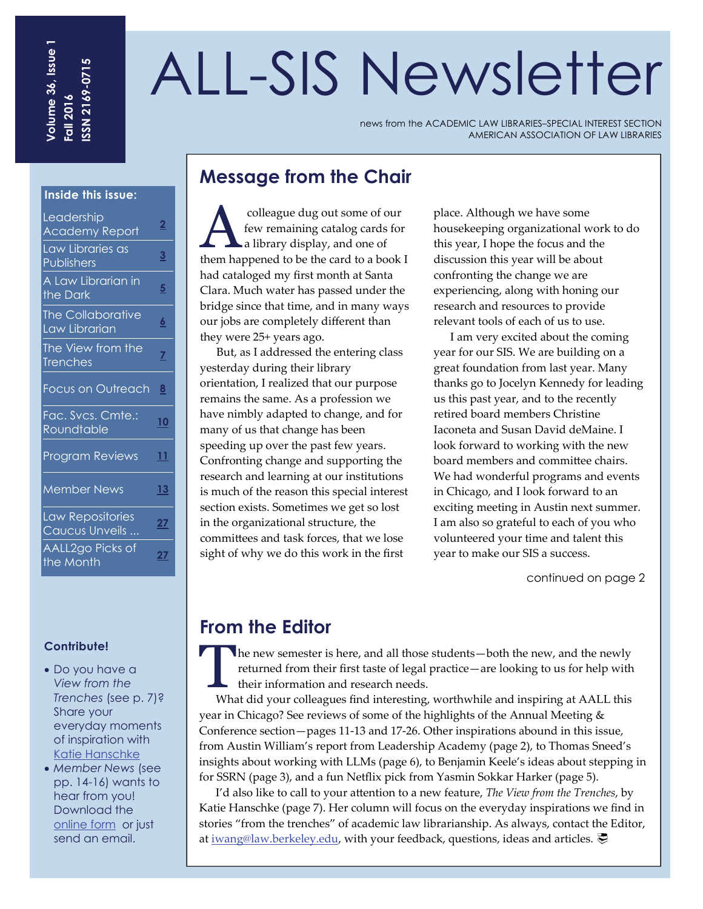# ALL-SIS Newsletter

news from the ACADEMIC LAW LIBRARIES–SPECIAL INTEREST SECTION AMERICAN ASSOCIATION OF LAW LIBRARIES

## **Message from the Chair**

colleague dug out some of our<br>few remaining catalog cards for<br>a library display, and one of few remaining catalog cards for **La library display, and one of** them happened to be the card to a book I had cataloged my first month at Santa Clara. Much water has passed under the bridge since that time, and in many ways our jobs are completely different than they were 25+ years ago.

But, as I addressed the entering class yesterday during their library orientation, I realized that our purpose remains the same. As a profession we have nimbly adapted to change, and for many of us that change has been speeding up over the past few years. Confronting change and supporting the research and learning at our institutions is much of the reason this special interest section exists. Sometimes we get so lost in the organizational structure, the committees and task forces, that we lose sight of why we do this work in the first

place. Although we have some housekeeping organizational work to do this year, I hope the focus and the discussion this year will be about confronting the change we are experiencing, along with honing our research and resources to provide relevant tools of each of us to use.

I am very excited about the coming year for our SIS. We are building on a great foundation from last year. Many thanks go to Jocelyn Kennedy for leading us this past year, and to the recently retired board members Christine Iaconeta and Susan David deMaine. I look forward to working with the new board members and committee chairs. We had wonderful programs and events in Chicago, and I look forward to an exciting meeting in Austin next summer. I am also so grateful to each of you who volunteered your time and talent this year to make our SIS a success.

continued on page 2

## **From the Editor**

The new semester is here, and all those students—both the new, and the newly returned from their first taste of legal practice—are looking to us for help with their information and research needs.

What did your colleagues find interesting, worthwhile and inspiring at AALL this year in Chicago? See reviews of some of the highlights of the Annual Meeting & Conference section—pages 11‐13 and 17‐26. Other inspirations abound in this issue, from Austin William's report from Leadership Academy (page 2), to Thomas Sneed's insights about working with LLMs (page 6), to Benjamin Keele's ideas about stepping in for SSRN (page 3), and a fun Netflix pick from Yasmin Sokkar Harker (page 5).

I'd also like to call to your attention to a new feature, *The View from the Trenches*, by Katie Hanschke (page 7). Her column will focus on the everyday inspirations we find in stories "from the trenches" of academic law librarianship. As always, contact the Editor, at [iwang@law.berkeley.edu](mailto:iwang@law.berkeley.edu), with your feedback, questions, ideas and articles.

#### **Inside this issue:**

| Leadership<br><b>Academy Report</b>       | <u>2</u>       |
|-------------------------------------------|----------------|
| Law Libraries as<br>Publishers            | <u>3</u>       |
| A Law Librarian in<br>the Dark            | $\overline{5}$ |
| <b>The Collaborative</b><br>Law Librarian | <u>6</u>       |
| The View from the<br><b>Trenches</b>      | $\overline{z}$ |
| Focus on Outreach                         | <u>8</u>       |
| Fac. Svcs. Cmte.:<br>Roundtable           | <u>10</u>      |
| <b>Program Reviews</b>                    | 11             |
| <b>Member News</b>                        | 13             |
| Law Repositories<br>Caucus Unveils        | 27             |
| AALL2go Picks of<br>the Month             | 27             |

#### **Contribute!**

- Do you have a *View from the Trenches* (see p. 7)? Share your everyday moments of inspiration with [Katie Hanschke](mailto:khanschke@NCCU.EDU)
- *Member News* (see pp. 14-16) wants to hear from you! Download the [online form](http://www.aallnet.org/sections/all/storage/committees/newsletter/MemberNewsForm.pdf) or just send an email.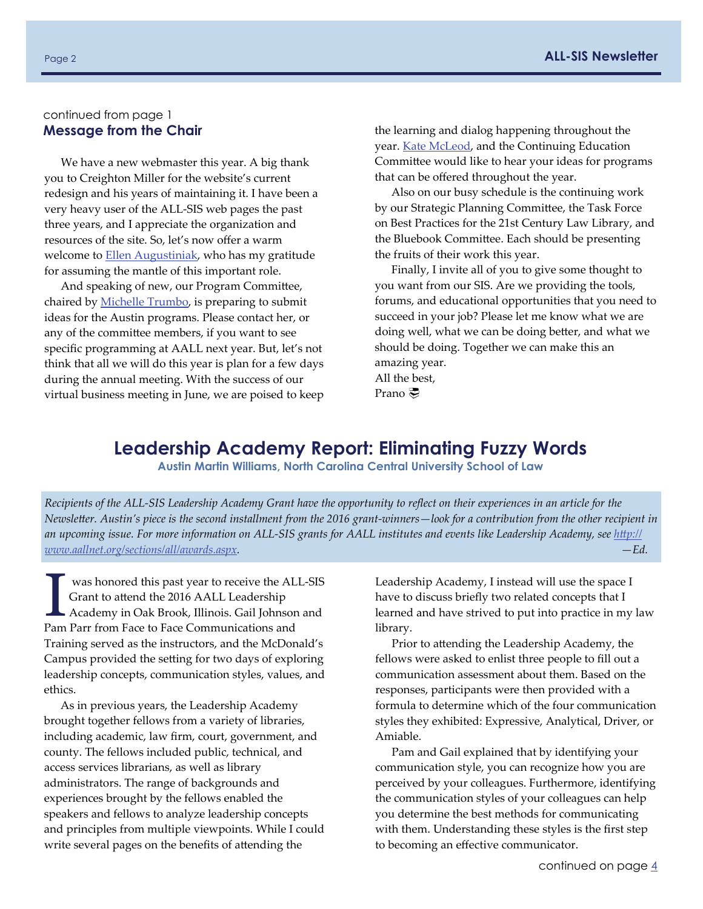## <span id="page-1-0"></span>continued from page 1

We have a new webmaster this year. A big thank you to Creighton Miller for the website's current redesign and his years of maintaining it. I have been a very heavy user of the ALL‐SIS web pages the past three years, and I appreciate the organization and resources of the site. So, let's now offer a warm welcome to **Ellen [Augustiniak](mailto:eaugustiniak@law.uci.edu)**, who has my gratitude for assuming the mantle of this important role.

And speaking of new, our Program Committee, chaired by [Michelle](mailto:mbotek@indiana.edu) Trumbo, is preparing to submit ideas for the Austin programs. Please contact her, or any of the committee members, if you want to see specific programming at AALL next year. But, let's not think that all we will do this year is plan for a few days during the annual meeting. With the success of our virtual business meeting in June, we are poised to keep

**Message from the Chair the chair the learning and dialog happening throughout the** year. Kate [McLeod](mailto:kmcleod4@elon.edu), and the Continuing Education Committee would like to hear your ideas for programs that can be offered throughout the year.

> Also on our busy schedule is the continuing work by our Strategic Planning Committee, the Task Force on Best Practices for the 21st Century Law Library, and the Bluebook Committee. Each should be presenting the fruits of their work this year.

> Finally, I invite all of you to give some thought to you want from our SIS. Are we providing the tools, forums, and educational opportunities that you need to succeed in your job? Please let me know what we are doing well, what we can be doing better, and what we should be doing. Together we can make this an amazing year. All the best,

Prano 、

## **Leadership Academy Report: Eliminating Fuzzy Words**

**Austin Martin Williams, North Carolina Central University School of Law** 

Recipients of the ALL-SIS Leadership Academy Grant have the opportunity to reflect on their experiences in an article for the Newsletter. Austin's piece is the second installment from the 2016 grant-winners—look for a contribution from the other recipient in an upcoming issue. For more information on ALL-SIS grants for AALL institutes and events like Leadership Academy, see htt[p://](http://www.aallnet.org/sections/all/awards.aspx) *[www.aallnet.org/sections/all/awards.aspx.](http://www.aallnet.org/sections/all/awards.aspx) —Ed.*

was honored this past year to receive the ALL-SIS Grant to attend the 2016 AALL Leadership Academy in Oak Brook, Illinois. Gail Johnson and Pam Parr from Face to Face Communications and Training served as the instructors, and the McDonald's Campus provided the setting for two days of exploring leadership concepts, communication styles, values, and ethics.

As in previous years, the Leadership Academy brought together fellows from a variety of libraries, including academic, law firm, court, government, and county. The fellows included public, technical, and access services librarians, as well as library administrators. The range of backgrounds and experiences brought by the fellows enabled the speakers and fellows to analyze leadership concepts and principles from multiple viewpoints. While I could write several pages on the benefits of attending the

Leadership Academy, I instead will use the space I have to discuss briefly two related concepts that I learned and have strived to put into practice in my law library.

Prior to attending the Leadership Academy, the fellows were asked to enlist three people to fill out a communication assessment about them. Based on the responses, participants were then provided with a formula to determine which of the four communication styles they exhibited: Expressive, Analytical, Driver, or Amiable.

Pam and Gail explained that by identifying your communication style, you can recognize how you are perceived by your colleagues. Furthermore, identifying the communication styles of your colleagues can help you determine the best methods for communicating with them. Understanding these styles is the first step to becoming an effective communicator.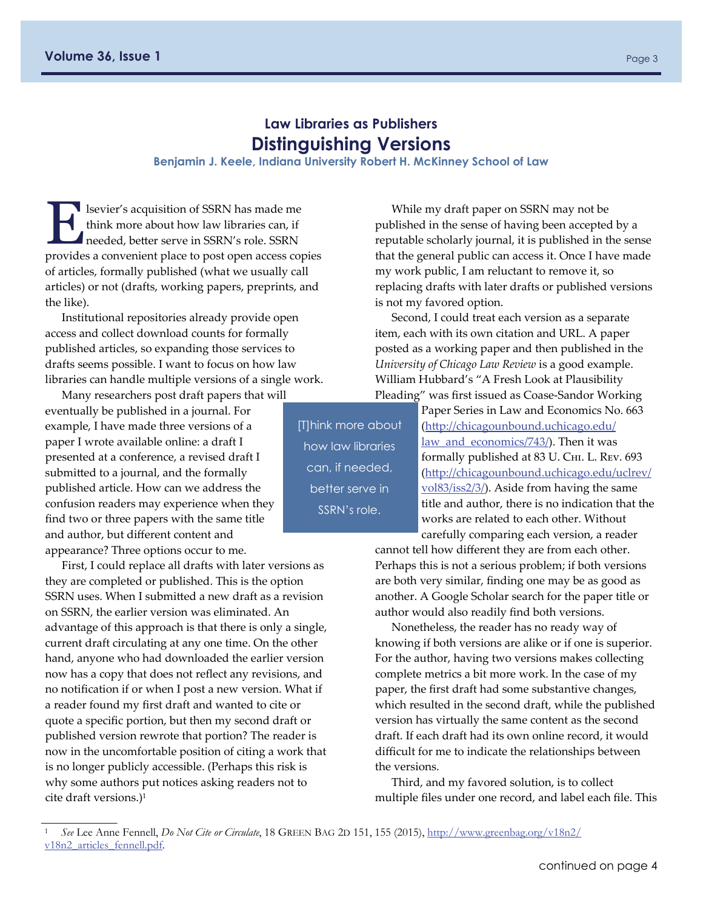## **Law Libraries as Publishers Distinguishing Versions**

#### **Benjamin J. Keele, Indiana University Robert H. McKinney School of Law**

<span id="page-2-0"></span>E lsevier's acquisition of SSRN has made me think more about how law libraries can, if needed, better serve in SSRN's role. SSRN provides a convenient place to post open access copies of articles, formally published (what we usually call articles) or not (drafts, working papers, preprints, and the like).

Institutional repositories already provide open access and collect download counts for formally published articles, so expanding those services to drafts seems possible. I want to focus on how law libraries can handle multiple versions of a single work.

Many researchers post draft papers that will

eventually be published in a journal. For example, I have made three versions of a paper I wrote available online: a draft I presented at a conference, a revised draft I submitted to a journal, and the formally published article. How can we address the confusion readers may experience when they find two or three papers with the same title and author, but different content and appearance? Three options occur to me.

First, I could replace all drafts with later versions as they are completed or published. This is the option SSRN uses. When I submitted a new draft as a revision on SSRN, the earlier version was eliminated. An advantage of this approach is that there is only a single, current draft circulating at any one time. On the other hand, anyone who had downloaded the earlier version now has a copy that does not reflect any revisions, and no notification if or when I post a new version. What if a reader found my first draft and wanted to cite or quote a specific portion, but then my second draft or published version rewrote that portion? The reader is now in the uncomfortable position of citing a work that is no longer publicly accessible. (Perhaps this risk is why some authors put notices asking readers not to cite draft versions.)1

While my draft paper on SSRN may not be published in the sense of having been accepted by a reputable scholarly journal, it is published in the sense that the general public can access it. Once I have made my work public, I am reluctant to remove it, so replacing drafts with later drafts or published versions is not my favored option.

Second, I could treat each version as a separate item, each with its own citation and URL. A paper posted as a working paper and then published in the *University of Chicago Law Review* is a good example. William Hubbard's "A Fresh Look at Plausibility Pleading" was first issued as Coase‐Sandor Working

[T]hink more about how law libraries can, if needed, better serve in SSRN's role.

Paper Series in Law and Economics No. 663 (htt[p://chicagounbound.uchicago.edu/](http://chicagounbound.uchicago.edu/law_and_economics/743/) [law\\_and\\_economics/743/](http://chicagounbound.uchicago.edu/law_and_economics/743/)). Then it was formally published at 83 U. CHI. L. Rev. 693 (htt[p://chicagounbound.uchicago.edu/uclrev/](http://chicagounbound.uchicago.edu/uclrev/vol83/iss2/3/) [vol83/iss2/3/](http://chicagounbound.uchicago.edu/uclrev/vol83/iss2/3/)). Aside from having the same title and author, there is no indication that the works are related to each other. Without carefully comparing each version, a reader

cannot tell how different they are from each other. Perhaps this is not a serious problem; if both versions are both very similar, finding one may be as good as another. A Google Scholar search for the paper title or author would also readily find both versions.

Nonetheless, the reader has no ready way of knowing if both versions are alike or if one is superior. For the author, having two versions makes collecting complete metrics a bit more work. In the case of my paper, the first draft had some substantive changes, which resulted in the second draft, while the published version has virtually the same content as the second draft. If each draft had its own online record, it would difficult for me to indicate the relationships between the versions.

Third, and my favored solution, is to collect multiple files under one record, and label each file. This

<sup>1</sup>*See* Lee Anne Fennell, *Do Not Cite or Circulate*, 18 GREEN BAG 2D 151, 155 (2015), [http://www.greenbag.org/v18n2/](http://www.greenbag.org/v18n2/v18n2_articles_fennell.pdf) v18n2 articles fennell.pdf.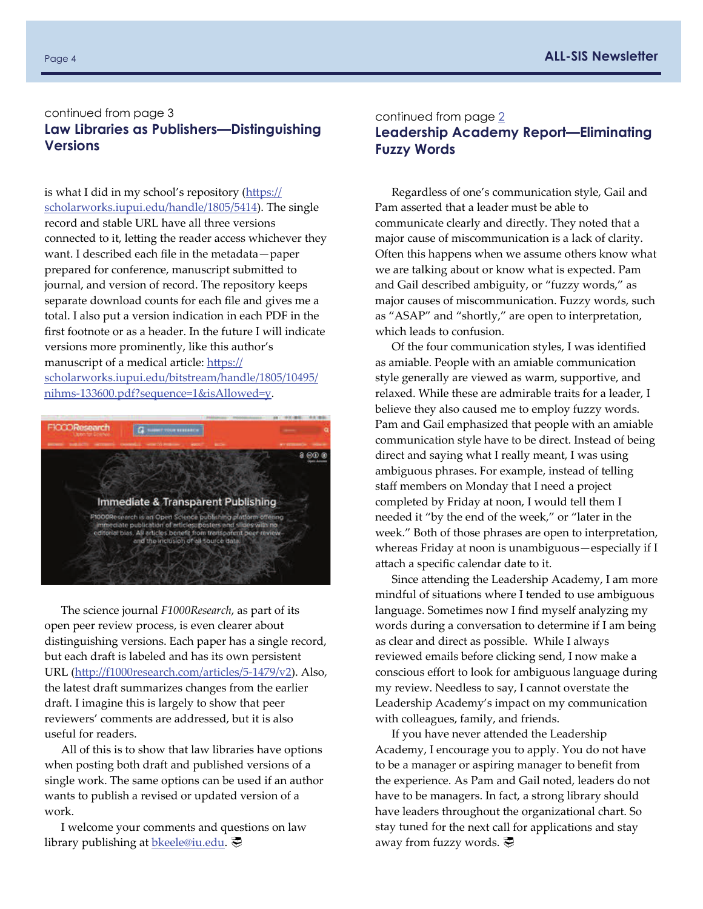#### <span id="page-3-0"></span>continued from page 3 **Law Libraries as Publishers—Distinguishing Versions**

is what I did in my school's repository (htt[ps://](https://scholarworks.iupui.edu/handle/1805/5414) [scholarworks.iupui.edu/handle/1805/5414\)](https://scholarworks.iupui.edu/handle/1805/5414). The single record and stable URL have all three versions connected to it, letting the reader access whichever they want. I described each file in the metadata—paper prepared for conference, manuscript submitted to journal, and version of record. The repository keeps separate download counts for each file and gives me a total. I also put a version indication in each PDF in the first footnote or as a header. In the future I will indicate versions more prominently, like this author's manuscript of a medical article: htt[ps://](https://scholarworks.iupui.edu/bitstream/handle/1805/10495/nihms-133600.pdf?sequence=1&isAllowed=y) [scholarworks.iupui.edu/bitstream/handle/1805/10495/](https://scholarworks.iupui.edu/bitstream/handle/1805/10495/nihms-133600.pdf?sequence=1&isAllowed=y) nihms‐[133600.pdf?sequence=1&isAllowed=y](https://scholarworks.iupui.edu/bitstream/handle/1805/10495/nihms-133600.pdf?sequence=1&isAllowed=y).



The science journal *F1000Research*, as part of its open peer review process, is even clearer about distinguishing versions. Each paper has a single record, but each draft is labeled and has its own persistent URL (htt[p://f1000research.com/articles/5](http://f1000research.com/articles/5-1479/v2)‐1479/v2). Also, the latest draft summarizes changes from the earlier draft. I imagine this is largely to show that peer reviewers' comments are addressed, but it is also useful for readers.

All of this is to show that law libraries have options when posting both draft and published versions of a single work. The same options can be used if an author wants to publish a revised or updated version of a work.

I welcome your comments and questions on law library publishing at **[bkeele@iu.edu](mailto:bkeele@iu.edu)**.

#### continued from page [2](#page-1-0) **Leadership Academy Report—Eliminating Fuzzy Words**

Regardless of one's communication style, Gail and Pam asserted that a leader must be able to communicate clearly and directly. They noted that a major cause of miscommunication is a lack of clarity. Often this happens when we assume others know what we are talking about or know what is expected. Pam and Gail described ambiguity, or "fuzzy words," as major causes of miscommunication. Fuzzy words, such as "ASAP" and "shortly," are open to interpretation, which leads to confusion.

Of the four communication styles, I was identified as amiable. People with an amiable communication style generally are viewed as warm, supportive, and relaxed. While these are admirable traits for a leader, I believe they also caused me to employ fuzzy words. Pam and Gail emphasized that people with an amiable communication style have to be direct. Instead of being direct and saying what I really meant, I was using ambiguous phrases. For example, instead of telling staff members on Monday that I need a project completed by Friday at noon, I would tell them I needed it "by the end of the week," or "later in the week." Both of those phrases are open to interpretation, whereas Friday at noon is unambiguous—especially if I attach a specific calendar date to it.

Since attending the Leadership Academy, I am more mindful of situations where I tended to use ambiguous language. Sometimes now I find myself analyzing my words during a conversation to determine if I am being as clear and direct as possible. While I always reviewed emails before clicking send, I now make a conscious effort to look for ambiguous language during my review. Needless to say, I cannot overstate the Leadership Academy's impact on my communication with colleagues, family, and friends.

If you have never attended the Leadership Academy, I encourage you to apply. You do not have to be a manager or aspiring manager to benefit from the experience. As Pam and Gail noted, leaders do not have to be managers. In fact, a strong library should have leaders throughout the organizational chart. So stay tuned for the next call for applications and stay away from fuzzy words.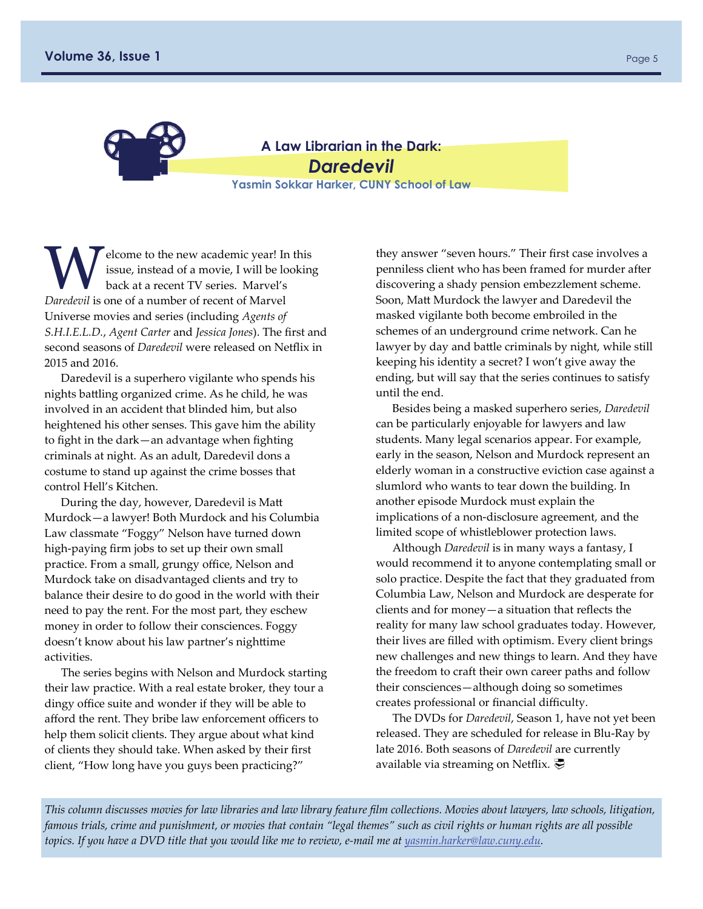<span id="page-4-0"></span>

**A Law Librarian in the Dark:**  *Daredevil*  **Yasmin Sokkar Harker, CUNY School of Law** 

Elcome to the new academic year! In this<br>issue, instead of a movie, I will be lookin<br>back at a recent TV series. Marvel's issue, instead of a movie, I will be looking back at a recent TV series. Marvel's *Daredevil* is one of a number of recent of Marvel Universe movies and series (including *Agents of S.H.I.E.L.D.*, *Agent Carter* and *Jessica Jones*). The first and second seasons of *Daredevil* were released on Netflix in 2015 and 2016.

Daredevil is a superhero vigilante who spends his nights battling organized crime. As he child, he was involved in an accident that blinded him, but also heightened his other senses. This gave him the ability to fight in the dark—an advantage when fighting criminals at night. As an adult, Daredevil dons a costume to stand up against the crime bosses that control Hell's Kitchen.

During the day, however, Daredevil is Matt Murdock—a lawyer! Both Murdock and his Columbia Law classmate "Foggy" Nelson have turned down high‐paying firm jobs to set up their own small practice. From a small, grungy office, Nelson and Murdock take on disadvantaged clients and try to balance their desire to do good in the world with their need to pay the rent. For the most part, they eschew money in order to follow their consciences. Foggy doesn't know about his law partner's nighttime activities.

The series begins with Nelson and Murdock starting their law practice. With a real estate broker, they tour a dingy office suite and wonder if they will be able to afford the rent. They bribe law enforcement officers to help them solicit clients. They argue about what kind of clients they should take. When asked by their first client, "How long have you guys been practicing?"

they answer "seven hours." Their first case involves a penniless client who has been framed for murder after discovering a shady pension embezzlement scheme. Soon, Matt Murdock the lawyer and Daredevil the masked vigilante both become embroiled in the schemes of an underground crime network. Can he lawyer by day and battle criminals by night, while still keeping his identity a secret? I won't give away the ending, but will say that the series continues to satisfy until the end.

Besides being a masked superhero series, *Daredevil* can be particularly enjoyable for lawyers and law students. Many legal scenarios appear. For example, early in the season, Nelson and Murdock represent an elderly woman in a constructive eviction case against a slumlord who wants to tear down the building. In another episode Murdock must explain the implications of a non-disclosure agreement, and the limited scope of whistleblower protection laws.

Although *Daredevil* is in many ways a fantasy, I would recommend it to anyone contemplating small or solo practice. Despite the fact that they graduated from Columbia Law, Nelson and Murdock are desperate for clients and for money—a situation that reflects the reality for many law school graduates today. However, their lives are filled with optimism. Every client brings new challenges and new things to learn. And they have the freedom to craft their own career paths and follow their consciences—although doing so sometimes creates professional or financial difficulty.

The DVDs for *Daredevil*, Season 1, have not yet been released. They are scheduled for release in Blu‐Ray by late 2016. Both seasons of *Daredevil* are currently available via streaming on Netflix. ○

This column discusses movies for law libraries and law library feature film collections. Movies about lawyers, law schools, litigation, famous trials, crime and punishment, or movies that contain "legal themes" such as civil rights or human rights are all possible topics. If you have a DVD title that you would like me to review, e-mail me at [yasmin.harker@law.cuny.edu](mailto:yasmin.harker@law.cuny.edu).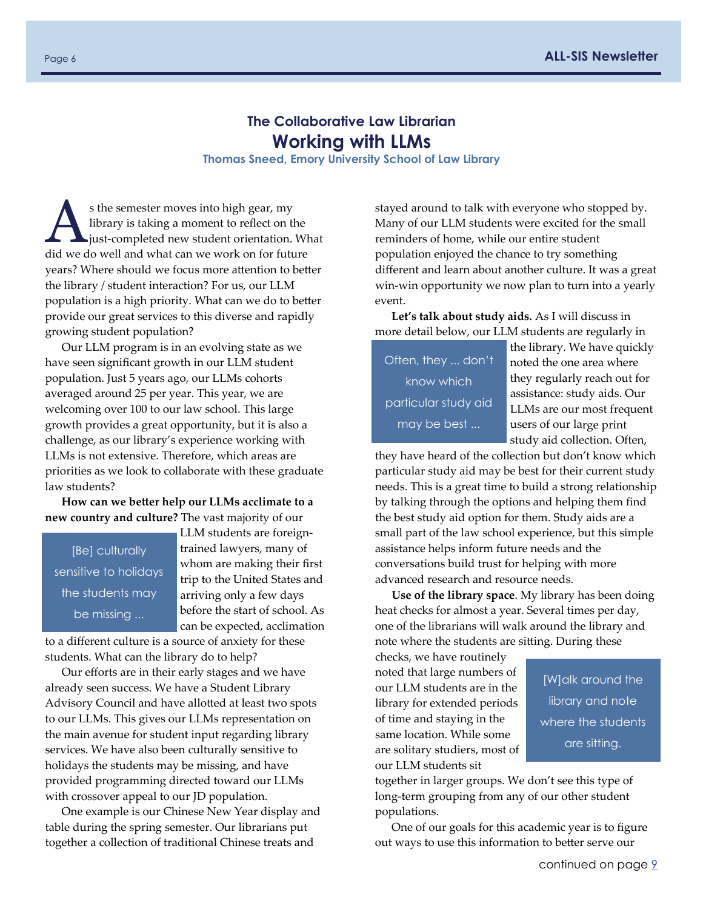## **The Collaborative Law Librarian Working with LLMs**

**Thomas Sneed, Emory University School of Law Library** 

<span id="page-5-0"></span>s the semester moves into high gear, my<br>library is taking a moment to reflect on the<br>just-completed new student orientation. What library is taking a moment to reflect on the did we do well and what can we work on for future years? Where should we focus more attention to better the library / student interaction? For us, our LLM population is a high priority. What can we do to better provide our great services to this diverse and rapidly growing student population?

Our LLM program is in an evolving state as we have seen significant growth in our LLM student population. Just 5 years ago, our LLMs cohorts averaged around 25 per year. This year, we are welcoming over 100 to our law school. This large growth provides a great opportunity, but it is also a challenge, as our library's experience working with LLMs is not extensive. Therefore, which areas are priorities as we look to collaborate with these graduate law students?

**How can we better help our LLMs acclimate to a new country and culture?** The vast majority of our

[Be] culturally sensitive to holidays the students may be missing ...

LLM students are foreign‐ trained lawyers, many of whom are making their first trip to the United States and arriving only a few days before the start of school. As can be expected, acclimation

to a different culture is a source of anxiety for these students. What can the library do to help?

Our efforts are in their early stages and we have already seen success. We have a Student Library Advisory Council and have allotted at least two spots to our LLMs. This gives our LLMs representation on the main avenue for student input regarding library services. We have also been culturally sensitive to holidays the students may be missing, and have provided programming directed toward our LLMs with crossover appeal to our JD population.

One example is our Chinese New Year display and table during the spring semester. Our librarians put together a collection of traditional Chinese treats and

stayed around to talk with everyone who stopped by. Many of our LLM students were excited for the small reminders of home, while our entire student population enjoyed the chance to try something different and learn about another culture. It was a great win‐win opportunity we now plan to turn into a yearly event.

**Let's talk about study aids.** As I will discuss in more detail below, our LLM students are regularly in

Often, they ... don't know which particular study aid may be best ...

the library. We have quickly noted the one area where they regularly reach out for assistance: study aids. Our LLMs are our most frequent users of our large print study aid collection. Often,

they have heard of the collection but don't know which particular study aid may be best for their current study needs. This is a great time to build a strong relationship by talking through the options and helping them find the best study aid option for them. Study aids are a small part of the law school experience, but this simple assistance helps inform future needs and the conversations build trust for helping with more advanced research and resource needs.

**Use of the library space**. My library has been doing heat checks for almost a year. Several times per day, one of the librarians will walk around the library and note where the students are sitting. During these

checks, we have routinely noted that large numbers of our LLM students are in the library for extended periods of time and staying in the same location. While some are solitary studiers, most of our LLM students sit

[W]alk around the library and note where the students are sitting.

together in larger groups. We don't see this type of long‐term grouping from any of our other student populations.

One of our goals for this academic year is to figure out ways to use this information to better serve our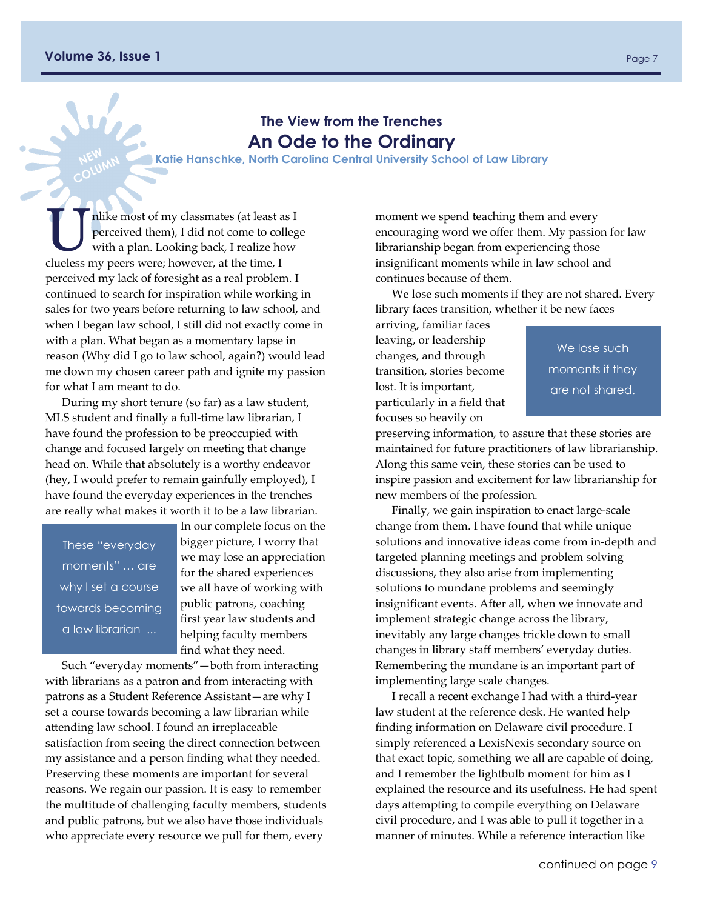#### <span id="page-6-0"></span>**Volume 36, Issue 1 Page 7 Page 7 Page 7 Page 7 Page 7 Page 7 Page 7 Page 7**

## **The View from the Trenches An Ode to the Ordinary**

**Katie Hanschke, North Carolina Central University School of Law Library**

Thike most of my classmates (at least as I<br>perceived them), I did not come to colleg<br>with a plan. Looking back, I realize how perceived them), I did not come to college with a plan. Looking back, I realize how clueless my peers were; however, at the time, I perceived my lack of foresight as a real problem. I continued to search for inspiration while working in sales for two years before returning to law school, and when I began law school, I still did not exactly come in with a plan. What began as a momentary lapse in reason (Why did I go to law school, again?) would lead me down my chosen career path and ignite my passion for what I am meant to do.

During my short tenure (so far) as a law student, MLS student and finally a full-time law librarian, I have found the profession to be preoccupied with change and focused largely on meeting that change head on. While that absolutely is a worthy endeavor (hey, I would prefer to remain gainfully employed), I have found the everyday experiences in the trenches are really what makes it worth it to be a law librarian.

These "everyday moments" … are why I set a course towards becoming a law librarian ...

In our complete focus on the bigger picture, I worry that we may lose an appreciation for the shared experiences we all have of working with public patrons, coaching first year law students and helping faculty members find what they need.

Such "everyday moments"—both from interacting with librarians as a patron and from interacting with patrons as a Student Reference Assistant—are why I set a course towards becoming a law librarian while attending law school. I found an irreplaceable satisfaction from seeing the direct connection between my assistance and a person finding what they needed. Preserving these moments are important for several reasons. We regain our passion. It is easy to remember the multitude of challenging faculty members, students and public patrons, but we also have those individuals who appreciate every resource we pull for them, every

moment we spend teaching them and every encouraging word we offer them. My passion for law librarianship began from experiencing those insignificant moments while in law school and continues because of them.

We lose such moments if they are not shared. Every library faces transition, whether it be new faces

arriving, familiar faces leaving, or leadership changes, and through transition, stories become lost. It is important, particularly in a field that focuses so heavily on

We lose such moments if they are not shared.

preserving information, to assure that these stories are maintained for future practitioners of law librarianship. Along this same vein, these stories can be used to inspire passion and excitement for law librarianship for new members of the profession.

Finally, we gain inspiration to enact large‐scale change from them. I have found that while unique solutions and innovative ideas come from in‐depth and targeted planning meetings and problem solving discussions, they also arise from implementing solutions to mundane problems and seemingly insignificant events. After all, when we innovate and implement strategic change across the library, inevitably any large changes trickle down to small changes in library staff members' everyday duties. Remembering the mundane is an important part of implementing large scale changes.

I recall a recent exchange I had with a third‐year law student at the reference desk. He wanted help finding information on Delaware civil procedure. I simply referenced a LexisNexis secondary source on that exact topic, something we all are capable of doing, and I remember the lightbulb moment for him as I explained the resource and its usefulness. He had spent days attempting to compile everything on Delaware civil procedure, and I was able to pull it together in a manner of minutes. While a reference interaction like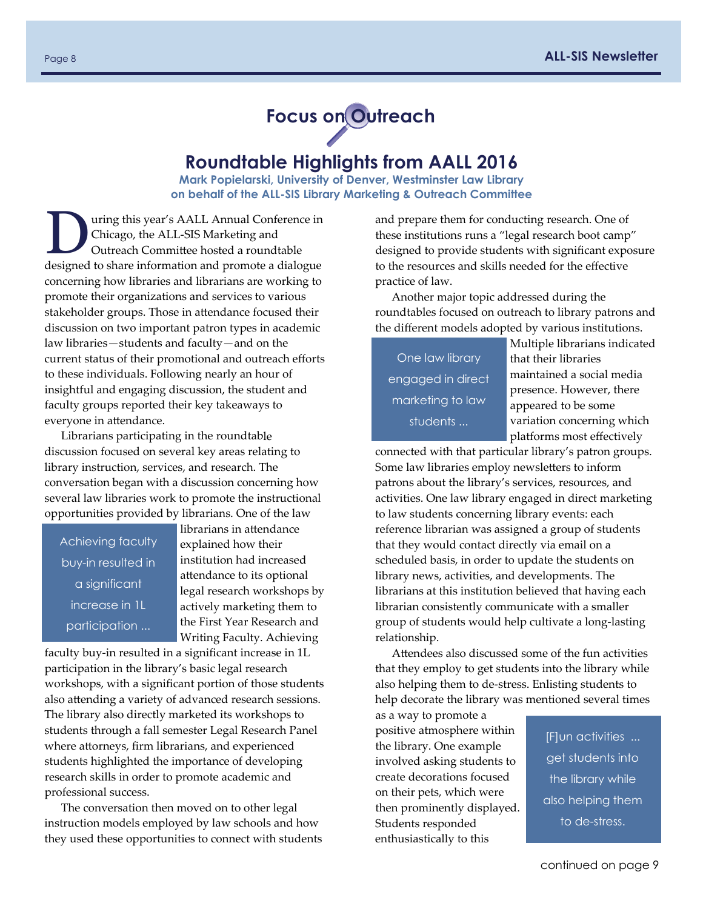

## **Roundtable Highlights from AALL 2016**

**Mark Popielarski, University of Denver, Westminster Law Library on behalf of the ALL-SIS Library Marketing & Outreach Committee** 

<span id="page-7-0"></span>uring this year's AALL Annual Conference in Chicago, the ALL‐SIS Marketing and Outreach Committee hosted a roundtable designed to share information and promote a dialogue concerning how libraries and librarians are working to promote their organizations and services to various stakeholder groups. Those in attendance focused their discussion on two important patron types in academic law libraries—students and faculty—and on the current status of their promotional and outreach efforts to these individuals. Following nearly an hour of insightful and engaging discussion, the student and faculty groups reported their key takeaways to everyone in attendance.

Librarians participating in the roundtable discussion focused on several key areas relating to library instruction, services, and research. The conversation began with a discussion concerning how several law libraries work to promote the instructional opportunities provided by librarians. One of the law

Achieving faculty buy-in resulted in a significant increase in 1L participation ...

librarians in attendance explained how their institution had increased attendance to its optional legal research workshops by actively marketing them to the First Year Research and Writing Faculty. Achieving

faculty buy‐in resulted in a significant increase in 1L participation in the library's basic legal research workshops, with a significant portion of those students also attending a variety of advanced research sessions. The library also directly marketed its workshops to students through a fall semester Legal Research Panel where attorneys, firm librarians, and experienced students highlighted the importance of developing research skills in order to promote academic and professional success.

The conversation then moved on to other legal instruction models employed by law schools and how they used these opportunities to connect with students and prepare them for conducting research. One of these institutions runs a "legal research boot camp" designed to provide students with significant exposure to the resources and skills needed for the effective practice of law.

Another major topic addressed during the roundtables focused on outreach to library patrons and the different models adopted by various institutions.

One law library engaged in direct marketing to law students ...

Multiple librarians indicated that their libraries maintained a social media presence. However, there appeared to be some variation concerning which platforms most effectively

connected with that particular library's patron groups. Some law libraries employ newsletters to inform patrons about the library's services, resources, and activities. One law library engaged in direct marketing to law students concerning library events: each reference librarian was assigned a group of students that they would contact directly via email on a scheduled basis, in order to update the students on library news, activities, and developments. The librarians at this institution believed that having each librarian consistently communicate with a smaller group of students would help cultivate a long‐lasting relationship.

Attendees also discussed some of the fun activities that they employ to get students into the library while also helping them to de‐stress. Enlisting students to help decorate the library was mentioned several times

as a way to promote a positive atmosphere within the library. One example involved asking students to create decorations focused on their pets, which were then prominently displayed. Students responded enthusiastically to this

[F]un activities ... get students into the library while also helping them to de-stress.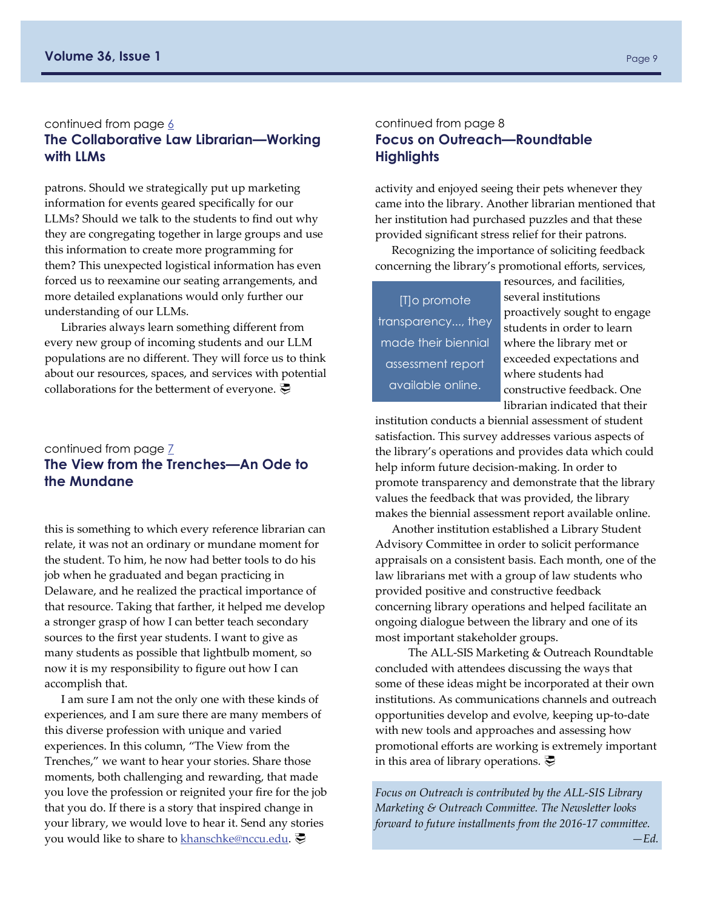#### <span id="page-8-0"></span>continued from page  $6$ **The Collaborative Law Librarian—Working with LLMs**

patrons. Should we strategically put up marketing information for events geared specifically for our LLMs? Should we talk to the students to find out why they are congregating together in large groups and use this information to create more programming for them? This unexpected logistical information has even forced us to reexamine our seating arrangements, and more detailed explanations would only further our understanding of our LLMs.

Libraries always learn something different from every new group of incoming students and our LLM populations are no different. They will force us to think about our resources, spaces, and services with potential collaborations for the betterment of everyone.  $\vec{E}$ 

#### continued from page  $\overline{Z}$ **The View from the Trenches—An Ode to the Mundane**

this is something to which every reference librarian can relate, it was not an ordinary or mundane moment for the student. To him, he now had better tools to do his job when he graduated and began practicing in Delaware, and he realized the practical importance of that resource. Taking that farther, it helped me develop a stronger grasp of how I can better teach secondary sources to the first year students. I want to give as many students as possible that lightbulb moment, so now it is my responsibility to figure out how I can accomplish that.

I am sure I am not the only one with these kinds of experiences, and I am sure there are many members of this diverse profession with unique and varied experiences. In this column, "The View from the Trenches," we want to hear your stories. Share those moments, both challenging and rewarding, that made you love the profession or reignited your fire for the job that you do. If there is a story that inspired change in your library, we would love to hear it. Send any stories you would like to share to [khanschke@nccu.edu](mailto:khanschke@nccu.edu).

#### continued from page 8 **Focus on Outreach—Roundtable Highlights**

activity and enjoyed seeing their pets whenever they came into the library. Another librarian mentioned that her institution had purchased puzzles and that these provided significant stress relief for their patrons.

Recognizing the importance of soliciting feedback concerning the library's promotional efforts, services,

[T]o promote transparency..., they made their biennial assessment report available online.

resources, and facilities, several institutions proactively sought to engage students in order to learn where the library met or exceeded expectations and where students had constructive feedback. One librarian indicated that their

institution conducts a biennial assessment of student satisfaction. This survey addresses various aspects of the library's operations and provides data which could help inform future decision‐making. In order to promote transparency and demonstrate that the library values the feedback that was provided, the library makes the biennial assessment report available online.

Another institution established a Library Student Advisory Committee in order to solicit performance appraisals on a consistent basis. Each month, one of the law librarians met with a group of law students who provided positive and constructive feedback concerning library operations and helped facilitate an ongoing dialogue between the library and one of its most important stakeholder groups.

The ALL‐SIS Marketing & Outreach Roundtable concluded with attendees discussing the ways that some of these ideas might be incorporated at their own institutions. As communications channels and outreach opportunities develop and evolve, keeping up‐to‐date with new tools and approaches and assessing how promotional efforts are working is extremely important in this area of library operations.  $\overline{\mathcal{P}}$ 

*Focus on Outreach is contributed by the ALL‐SIS Library Marketing & Outreach Committee. The Newsletter looks forward to future installments from the 2016‐17 committee.* 

*—Ed.*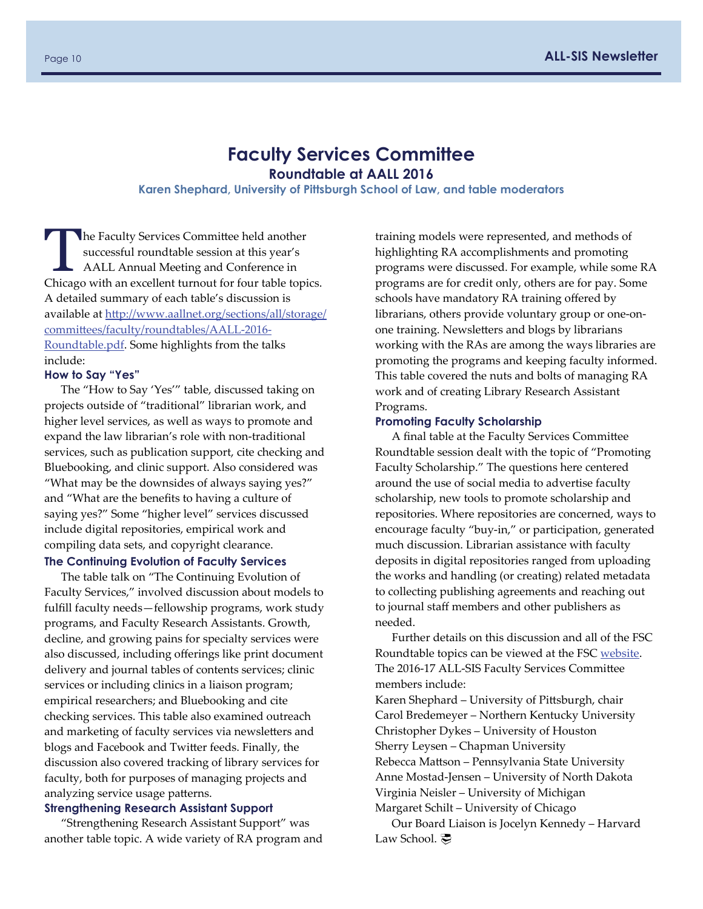## **Faculty Services Committee**

**Roundtable at AALL 2016** 

**Karen Shephard, University of Pittsburgh School of Law, and table moderators** 

<span id="page-9-0"></span>The Faculty Services Committee held another<br>successful roundtable session at this year's<br>AALL Annual Meeting and Conference in successful roundtable session at this year's AALL Annual Meeting and Conference in Chicago with an excellent turnout for four table topics. A detailed summary of each table's discussion is available at htt[p://www.aallnet.org/sections/all/storage/](http://www.aallnet.org/sections/all/storage/committees/faculty/roundtables/AALL-2016-Roundtable.pdf) committ[ees/faculty/roundtables/AALL](http://www.aallnet.org/sections/all/storage/committees/faculty/roundtables/AALL-2016-Roundtable.pdf)‐2016‐ [Roundtable.pdf](http://www.aallnet.org/sections/all/storage/committees/faculty/roundtables/AALL-2016-Roundtable.pdf). Some highlights from the talks include:

#### **How to Say "Yes"**

The "How to Say 'Yes'" table, discussed taking on projects outside of "traditional" librarian work, and higher level services, as well as ways to promote and expand the law librarian's role with non‐traditional services, such as publication support, cite checking and Bluebooking, and clinic support. Also considered was "What may be the downsides of always saying yes?" and "What are the benefits to having a culture of saying yes?" Some "higher level" services discussed include digital repositories, empirical work and compiling data sets, and copyright clearance.

#### **The Continuing Evolution of Faculty Services**

The table talk on "The Continuing Evolution of Faculty Services," involved discussion about models to fulfill faculty needs—fellowship programs, work study programs, and Faculty Research Assistants. Growth, decline, and growing pains for specialty services were also discussed, including offerings like print document delivery and journal tables of contents services; clinic services or including clinics in a liaison program; empirical researchers; and Bluebooking and cite checking services. This table also examined outreach and marketing of faculty services via newsletters and blogs and Facebook and Twitter feeds. Finally, the discussion also covered tracking of library services for faculty, both for purposes of managing projects and analyzing service usage patterns.

#### **Strengthening Research Assistant Support**

"Strengthening Research Assistant Support" was another table topic. A wide variety of RA program and training models were represented, and methods of highlighting RA accomplishments and promoting programs were discussed. For example, while some RA programs are for credit only, others are for pay. Some schools have mandatory RA training offered by librarians, others provide voluntary group or one‐on‐ one training. Newsletters and blogs by librarians working with the RAs are among the ways libraries are promoting the programs and keeping faculty informed. This table covered the nuts and bolts of managing RA work and of creating Library Research Assistant Programs.

#### **Promoting Faculty Scholarship**

A final table at the Faculty Services Committee Roundtable session dealt with the topic of "Promoting Faculty Scholarship." The questions here centered around the use of social media to advertise faculty scholarship, new tools to promote scholarship and repositories. Where repositories are concerned, ways to encourage faculty "buy‐in," or participation, generated much discussion. Librarian assistance with faculty deposits in digital repositories ranged from uploading the works and handling (or creating) related metadata to collecting publishing agreements and reaching out to journal staff members and other publishers as needed.

Further details on this discussion and all of the FSC Roundtable topics can be viewed at the FSC [website](http://www.aallnet.org/sections/all/storage/committees/faculty/roundtables). The 2016‐17 ALL‐SIS Faculty Services Committee members include:

Karen Shephard – University of Pittsburgh, chair Carol Bredemeyer – Northern Kentucky University Christopher Dykes – University of Houston Sherry Leysen – Chapman University Rebecca Mattson – Pennsylvania State University Anne Mostad‐Jensen – University of North Dakota Virginia Neisler – University of Michigan Margaret Schilt – University of Chicago

Our Board Liaison is Jocelyn Kennedy – Harvard Law School. 亭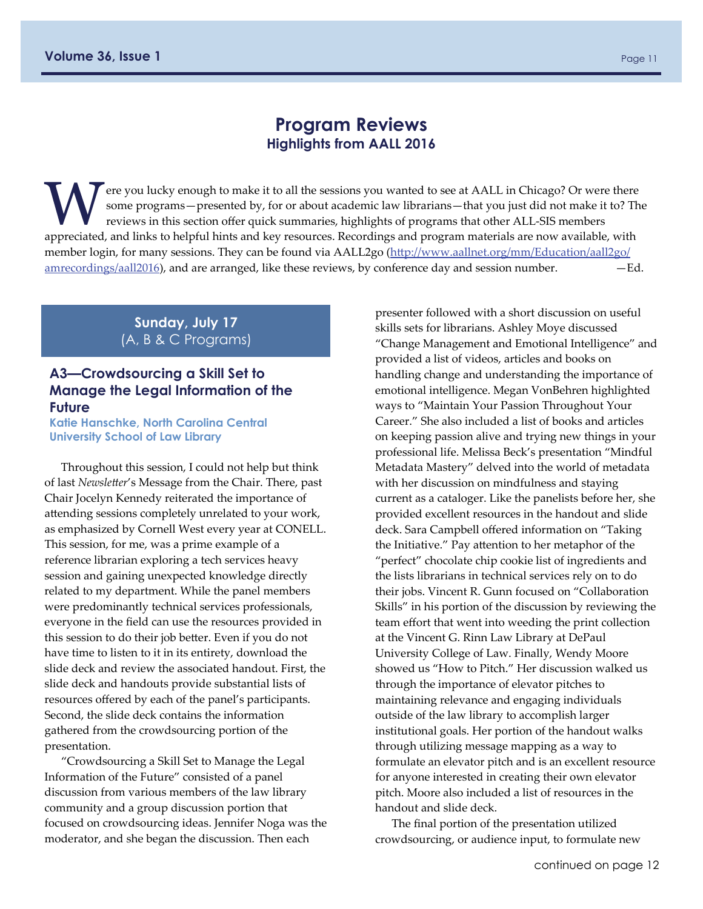## **Program Reviews Highlights from AALL 2016**

<span id="page-10-0"></span>The you lucky enough to make it to all the sessions you wanted to see at AALL in Chicago? Or were there some programs — presented by, for or about academic law librarians — that you just did not make it to? The reviews in some programs—presented by, for or about academic law librarians—that you just did not make it to? The reviews in this section offer quick summaries, highlights of programs that other ALL‐SIS members appreciated, and links to helpful hints and key resources. Recordings and program materials are now available, with member login, for many sessions. They can be found via AALL2go (htt[p://www.aallnet.org/mm/Education/aall2go/](http://www.aallnet.org/mm/Education/aall2go/amrecordings/aall2016.aspx)  $amrecording/aa112016$ , and are arranged, like these reviews, by conference day and session number.  $-\text{Ed}$ .

> **Sunday, July 17**  (A, B & C Programs)

#### **A3—Crowdsourcing a Skill Set to Manage the Legal Information of the Future**

**Katie Hanschke, North Carolina Central University School of Law Library**

Throughout this session, I could not help but think of last *Newsletter*'s Message from the Chair. There, past Chair Jocelyn Kennedy reiterated the importance of attending sessions completely unrelated to your work, as emphasized by Cornell West every year at CONELL. This session, for me, was a prime example of a reference librarian exploring a tech services heavy session and gaining unexpected knowledge directly related to my department. While the panel members were predominantly technical services professionals, everyone in the field can use the resources provided in this session to do their job better. Even if you do not have time to listen to it in its entirety, download the slide deck and review the associated handout. First, the slide deck and handouts provide substantial lists of resources offered by each of the panel's participants. Second, the slide deck contains the information gathered from the crowdsourcing portion of the presentation.

"Crowdsourcing a Skill Set to Manage the Legal Information of the Future" consisted of a panel discussion from various members of the law library community and a group discussion portion that focused on crowdsourcing ideas. Jennifer Noga was the moderator, and she began the discussion. Then each

presenter followed with a short discussion on useful skills sets for librarians. Ashley Moye discussed "Change Management and Emotional Intelligence" and provided a list of videos, articles and books on handling change and understanding the importance of emotional intelligence. Megan VonBehren highlighted ways to "Maintain Your Passion Throughout Your Career." She also included a list of books and articles on keeping passion alive and trying new things in your professional life. Melissa Beck's presentation "Mindful Metadata Mastery" delved into the world of metadata with her discussion on mindfulness and staying current as a cataloger. Like the panelists before her, she provided excellent resources in the handout and slide deck. Sara Campbell offered information on "Taking the Initiative." Pay attention to her metaphor of the "perfect" chocolate chip cookie list of ingredients and the lists librarians in technical services rely on to do their jobs. Vincent R. Gunn focused on "Collaboration Skills" in his portion of the discussion by reviewing the team effort that went into weeding the print collection at the Vincent G. Rinn Law Library at DePaul University College of Law. Finally, Wendy Moore showed us "How to Pitch." Her discussion walked us through the importance of elevator pitches to maintaining relevance and engaging individuals outside of the law library to accomplish larger institutional goals. Her portion of the handout walks through utilizing message mapping as a way to formulate an elevator pitch and is an excellent resource for anyone interested in creating their own elevator pitch. Moore also included a list of resources in the handout and slide deck.

The final portion of the presentation utilized crowdsourcing, or audience input, to formulate new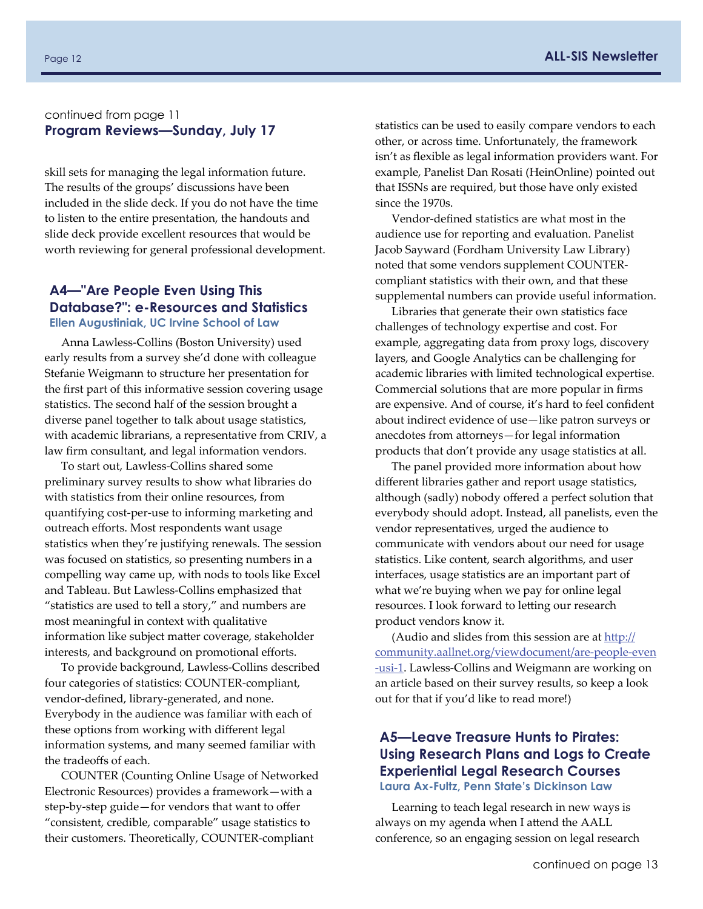#### continued from page [11](#page-6-0) **Program Reviews—Sunday, July 17**

skill sets for managing the legal information future. The results of the groups' discussions have been included in the slide deck. If you do not have the time to listen to the entire presentation, the handouts and slide deck provide excellent resources that would be worth reviewing for general professional development.

#### **A4—"Are People Even Using This Database?": e-Resources and Statistics Ellen Augustiniak, UC Irvine School of Law**

Anna Lawless‐Collins (Boston University) used early results from a survey she'd done with colleague Stefanie Weigmann to structure her presentation for the first part of this informative session covering usage statistics. The second half of the session brought a diverse panel together to talk about usage statistics, with academic librarians, a representative from CRIV, a law firm consultant, and legal information vendors.

To start out, Lawless‐Collins shared some preliminary survey results to show what libraries do with statistics from their online resources, from quantifying cost‐per‐use to informing marketing and outreach efforts. Most respondents want usage statistics when they're justifying renewals. The session was focused on statistics, so presenting numbers in a compelling way came up, with nods to tools like Excel and Tableau. But Lawless‐Collins emphasized that "statistics are used to tell a story," and numbers are most meaningful in context with qualitative information like subject matter coverage, stakeholder interests, and background on promotional efforts.

To provide background, Lawless‐Collins described four categories of statistics: COUNTER‐compliant, vendor‐defined, library‐generated, and none. Everybody in the audience was familiar with each of these options from working with different legal information systems, and many seemed familiar with the tradeoffs of each.

COUNTER (Counting Online Usage of Networked Electronic Resources) provides a framework—with a step‐by‐step guide—for vendors that want to offer "consistent, credible, comparable" usage statistics to their customers. Theoretically, COUNTER‐compliant

statistics can be used to easily compare vendors to each other, or across time. Unfortunately, the framework isn't as flexible as legal information providers want. For example, Panelist Dan Rosati (HeinOnline) pointed out that ISSNs are required, but those have only existed since the 1970s.

Vendor‐defined statistics are what most in the audience use for reporting and evaluation. Panelist Jacob Sayward (Fordham University Law Library) noted that some vendors supplement COUNTER‐ compliant statistics with their own, and that these supplemental numbers can provide useful information.

Libraries that generate their own statistics face challenges of technology expertise and cost. For example, aggregating data from proxy logs, discovery layers, and Google Analytics can be challenging for academic libraries with limited technological expertise. Commercial solutions that are more popular in firms are expensive. And of course, it's hard to feel confident about indirect evidence of use—like patron surveys or anecdotes from attorneys—for legal information products that don't provide any usage statistics at all.

The panel provided more information about how different libraries gather and report usage statistics, although (sadly) nobody offered a perfect solution that everybody should adopt. Instead, all panelists, even the vendor representatives, urged the audience to communicate with vendors about our need for usage statistics. Like content, search algorithms, and user interfaces, usage statistics are an important part of what we're buying when we pay for online legal resources. I look forward to letting our research product vendors know it.

(Audio and slides from this session are at htt[p://](http://community.aallnet.org/viewdocument/are-people-even-usi-1) [community.aallnet.org/viewdocument/are](http://community.aallnet.org/viewdocument/are-people-even-usi-1)‐people‐even ‐[usi](http://community.aallnet.org/viewdocument/are-people-even-usi-1)‐1. Lawless‐Collins and Weigmann are working on an article based on their survey results, so keep a look out for that if you'd like to read more!)

#### **A5—Leave Treasure Hunts to Pirates: Using Research Plans and Logs to Create Experiential Legal Research Courses Laura Ax-Fultz, Penn State's Dickinson Law**

Learning to teach legal research in new ways is always on my agenda when I attend the AALL conference, so an engaging session on legal research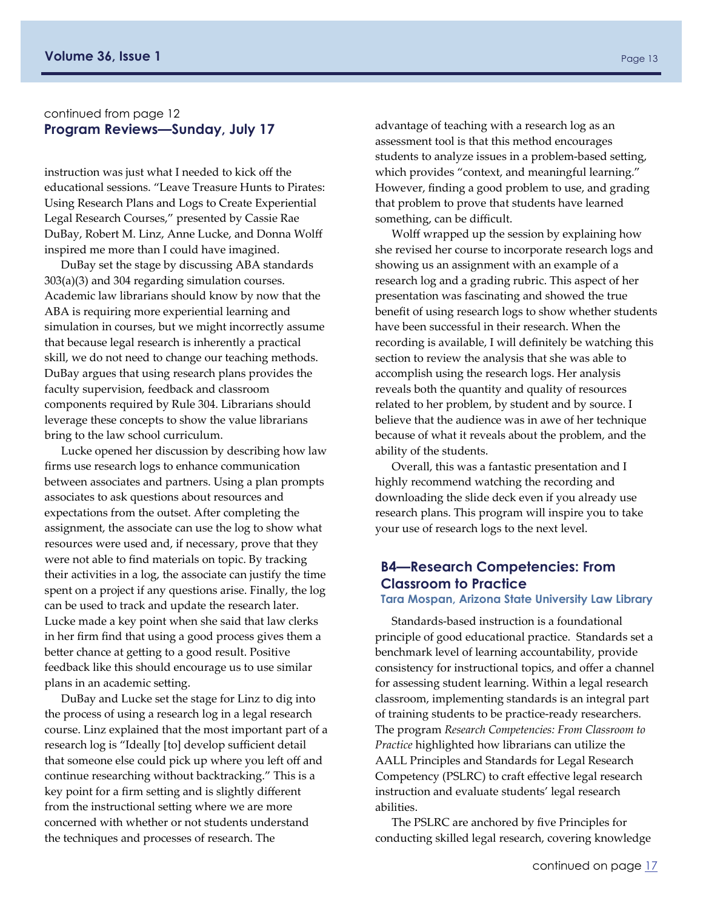#### <span id="page-12-0"></span>continued from page 12 **Program Reviews—Sunday, July 17**

instruction was just what I needed to kick off the educational sessions. "Leave Treasure Hunts to Pirates: Using Research Plans and Logs to Create Experiential Legal Research Courses," presented by Cassie Rae DuBay, Robert M. Linz, Anne Lucke, and Donna Wolff inspired me more than I could have imagined.

DuBay set the stage by discussing ABA standards 303(a)(3) and 304 regarding simulation courses. Academic law librarians should know by now that the ABA is requiring more experiential learning and simulation in courses, but we might incorrectly assume that because legal research is inherently a practical skill, we do not need to change our teaching methods. DuBay argues that using research plans provides the faculty supervision, feedback and classroom components required by Rule 304. Librarians should leverage these concepts to show the value librarians bring to the law school curriculum.

Lucke opened her discussion by describing how law firms use research logs to enhance communication between associates and partners. Using a plan prompts associates to ask questions about resources and expectations from the outset. After completing the assignment, the associate can use the log to show what resources were used and, if necessary, prove that they were not able to find materials on topic. By tracking their activities in a log, the associate can justify the time spent on a project if any questions arise. Finally, the log can be used to track and update the research later. Lucke made a key point when she said that law clerks in her firm find that using a good process gives them a better chance at getting to a good result. Positive feedback like this should encourage us to use similar plans in an academic setting.

DuBay and Lucke set the stage for Linz to dig into the process of using a research log in a legal research course. Linz explained that the most important part of a research log is "Ideally [to] develop sufficient detail that someone else could pick up where you left off and continue researching without backtracking." This is a key point for a firm setting and is slightly different from the instructional setting where we are more concerned with whether or not students understand the techniques and processes of research. The

advantage of teaching with a research log as an assessment tool is that this method encourages students to analyze issues in a problem‐based setting, which provides "context, and meaningful learning." However, finding a good problem to use, and grading that problem to prove that students have learned something, can be difficult.

Wolff wrapped up the session by explaining how she revised her course to incorporate research logs and showing us an assignment with an example of a research log and a grading rubric. This aspect of her presentation was fascinating and showed the true benefit of using research logs to show whether students have been successful in their research. When the recording is available, I will definitely be watching this section to review the analysis that she was able to accomplish using the research logs. Her analysis reveals both the quantity and quality of resources related to her problem, by student and by source. I believe that the audience was in awe of her technique because of what it reveals about the problem, and the ability of the students.

Overall, this was a fantastic presentation and I highly recommend watching the recording and downloading the slide deck even if you already use research plans. This program will inspire you to take your use of research logs to the next level.

## **B4—Research Competencies: From Classroom to Practice**

#### **Tara Mospan, Arizona State University Law Library**

Standards‐based instruction is a foundational principle of good educational practice. Standards set a benchmark level of learning accountability, provide consistency for instructional topics, and offer a channel for assessing student learning. Within a legal research classroom, implementing standards is an integral part of training students to be practice‐ready researchers. The program *Research Competencies: From Classroom to Practice* highlighted how librarians can utilize the AALL Principles and Standards for Legal Research Competency (PSLRC) to craft effective legal research instruction and evaluate students' legal research abilities.

The PSLRC are anchored by five Principles for conducting skilled legal research, covering knowledge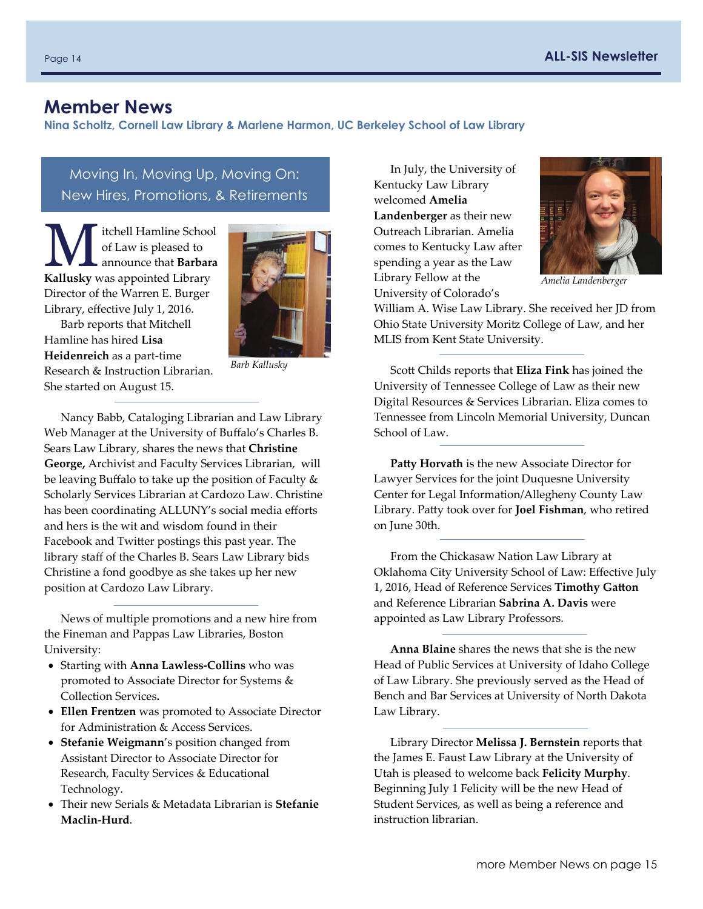## <span id="page-13-0"></span>**Member News**

**Nina Scholtz, Cornell Law Library & Marlene Harmon, UC Berkeley School of Law Library** 

Moving In, Moving Up, Moving On: New Hires, Promotions, & Retirements

**M** itchell Hamline School<br>of Law is pleased to<br>**Kalluely** vise announce that **Barbara** of Law is pleased to **Kallusky** was appointed Library Director of the Warren E. Burger Library, effective July 1, 2016.



Hamline has hired **Lisa Heidenreich** as a part‐time Research & Instruction Librarian. She started on August 15.

Barb reports that Mitchell

*Barb Kallusky*

Nancy Babb, Cataloging Librarian and Law Library Web Manager at the University of Buffalo's Charles B. Sears Law Library, shares the news that **Christine George,** Archivist and Faculty Services Librarian, will be leaving Buffalo to take up the position of Faculty & Scholarly Services Librarian at Cardozo Law. Christine has been coordinating ALLUNY's social media efforts and hers is the wit and wisdom found in their Facebook and Twitter postings this past year. The library staff of the Charles B. Sears Law Library bids Christine a fond goodbye as she takes up her new position at Cardozo Law Library.

News of multiple promotions and a new hire from the Fineman and Pappas Law Libraries, Boston University:

- Starting with **Anna Lawless‐Collins** who was promoted to Associate Director for Systems & Collection Services**.**
- **Ellen Frentzen** was promoted to Associate Director for Administration & Access Services.
- **Stefanie Weigmann**'s position changed from Assistant Director to Associate Director for Research, Faculty Services & Educational Technology.
- Their new Serials & Metadata Librarian is **Stefanie Maclin‐Hurd**.

In July, the University of Kentucky Law Library welcomed **Amelia Landenberger** as their new Outreach Librarian. Amelia comes to Kentucky Law after spending a year as the Law Library Fellow at the University of Colorado's



*Amelia Landenberger*

William A. Wise Law Library. She received her JD from Ohio State University Moritz College of Law, and her MLIS from Kent State University.

Scott Childs reports that **Eliza Fink** has joined the University of Tennessee College of Law as their new Digital Resources & Services Librarian. Eliza comes to Tennessee from Lincoln Memorial University, Duncan School of Law.

**Patty Horvath** is the new Associate Director for Lawyer Services for the joint Duquesne University Center for Legal Information/Allegheny County Law Library. Patty took over for **Joel Fishman**, who retired on June 30th.

From the Chickasaw Nation Law Library at Oklahoma City University School of Law: Effective July 1, 2016, Head of Reference Services **Timothy Gatton** and Reference Librarian **Sabrina A. Davis** were appointed as Law Library Professors.

**Anna Blaine** shares the news that she is the new Head of Public Services at University of Idaho College of Law Library. She previously served as the Head of Bench and Bar Services at University of North Dakota Law Library.

Library Director **Melissa J. Bernstein** reports that the James E. Faust Law Library at the University of Utah is pleased to welcome back **Felicity Murphy**. Beginning July 1 Felicity will be the new Head of Student Services, as well as being a reference and instruction librarian.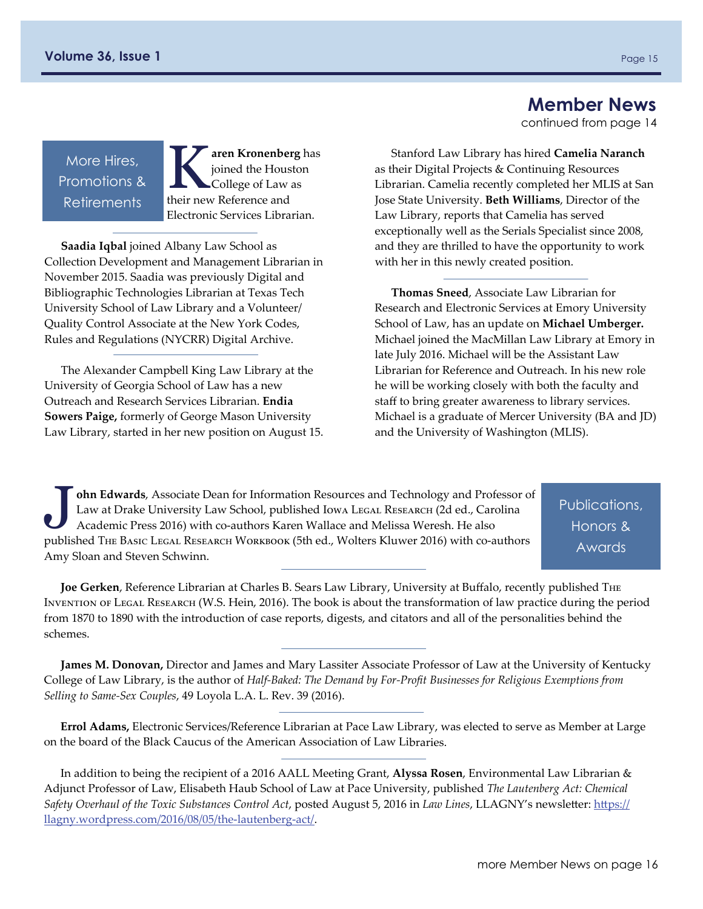## **Member News**

continued from page 14

More Hires, Promotions & **Retirements** 

K**aren Kronenberg** has joined the Houston College of Law as their new Reference and Electronic Services Librarian.

**Saadia Iqbal** joined Albany Law School as Collection Development and Management Librarian in November 2015. Saadia was previously Digital and Bibliographic Technologies Librarian at Texas Tech University School of Law Library and a Volunteer/ Quality Control Associate at the New York Codes, Rules and Regulations (NYCRR) Digital Archive.

The Alexander Campbell King Law Library at the University of Georgia School of Law has a new Outreach and Research Services Librarian. **Endia Sowers Paige,** formerly of George Mason University Law Library, started in her new position on August 15.

Stanford Law Library has hired **Camelia Naranch** as their Digital Projects & Continuing Resources Librarian. Camelia recently completed her MLIS at San Jose State University. **Beth Williams**, Director of the Law Library, reports that Camelia has served exceptionally well as the Serials Specialist since 2008, and they are thrilled to have the opportunity to work with her in this newly created position.

**Thomas Sneed**, Associate Law Librarian for Research and Electronic Services at Emory University School of Law, has an update on **Michael Umberger.** Michael joined the MacMillan Law Library at Emory in late July 2016. Michael will be the Assistant Law Librarian for Reference and Outreach. In his new role he will be working closely with both the faculty and staff to bring greater awareness to library services. Michael is a graduate of Mercer University (BA and JD) and the University of Washington (MLIS).

John Edwards, Associate Dean for Information Resources and Technology and Professor of<br>Law at Drake University Law School, published Iowa Legal Research (2d ed., Carolina<br>Academic Press 2016) with co-authors Karen Wallace Law at Drake University Law School, published Iowa Legal Research (2d ed., Carolina Academic Press 2016) with co‐authors Karen Wallace and Melissa Weresh. He also published The Basic Legal Research Workbook (5th ed., Wolters Kluwer 2016) with co‐authors Amy Sloan and Steven Schwinn.

Publications, Honors & Awards

**Joe Gerken**, Reference Librarian at Charles B. Sears Law Library, University at Buffalo, recently published The Invention of Legal Research (W.S. Hein, 2016). The book is about the transformation of law practice during the period from 1870 to 1890 with the introduction of case reports, digests, and citators and all of the personalities behind the schemes.

**James M. Donovan,** Director and James and Mary Lassiter Associate Professor of Law at the University of Kentucky College of Law Library, is the author of *Half‐Baked: The Demand by For‐Profit Businesses for Religious Exemptions from Selling to Same‐Sex Couples*, 49 Loyola L.A. L. Rev. 39 (2016).

**Errol Adams,** Electronic Services/Reference Librarian at Pace Law Library, was elected to serve as Member at Large on the board of the Black Caucus of the American Association of Law Libraries.

In addition to being the recipient of a 2016 AALL Meeting Grant, **Alyssa Rosen**, Environmental Law Librarian & Adjunct Professor of Law, Elisabeth Haub School of Law at Pace University, published *The Lautenberg Act: Chemical Safety Overhaul of the Toxic Substances Control Act*, posted August 5, 2016 in *Law Lines*, LLAGNY's newsletter: htt[ps://](https://llagny.wordpress.com/2016/08/05/the-lautenberg-act/) [llagny.wordpress.com/2016/08/05/the](https://llagny.wordpress.com/2016/08/05/the-lautenberg-act/)‐lautenberg‐act/.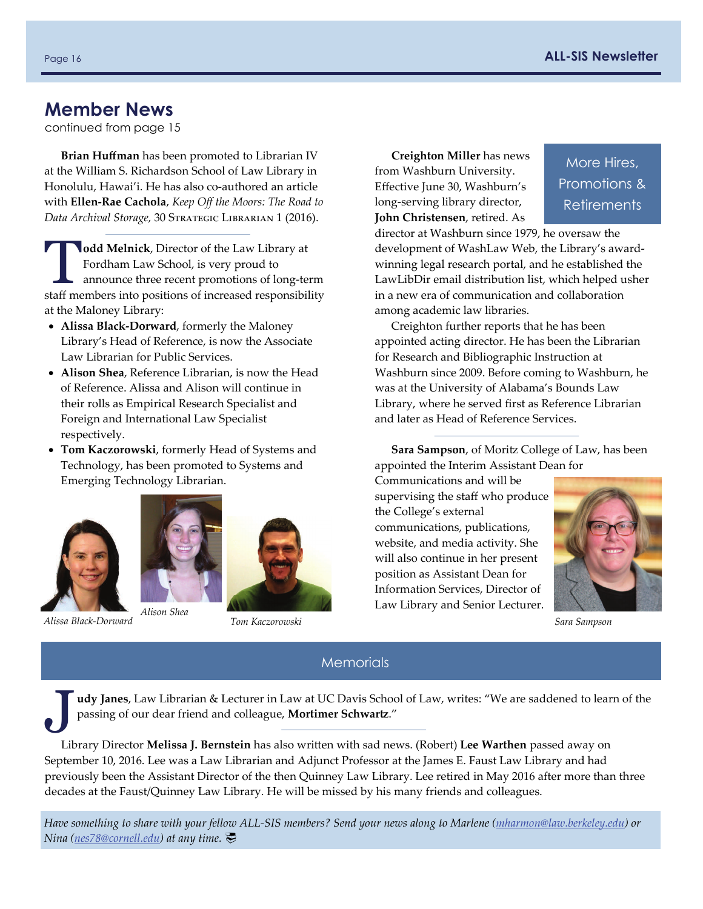## **Member News**

continued from page 15

**Brian Huffman** has been promoted to Librarian IV at the William S. Richardson School of Law Library in Honolulu, Hawai'i. He has also co-authored an article with **Ellen‐Rae Cachola**, *Keep Off the Moors: The Road to Data Archival Storage,* 30 Strategic Librarian 1 (2016).

**Todd Melnick**, Director of the Law Library at<br>
Fordham Law School, is very proud to<br>
announce three recent promotions of long-term<br>
at<br>
announce three recent promotions of long-term Fordham Law School, is very proud to staff members into positions of increased responsibility at the Maloney Library:

- **Alissa Black‐Dorward**, formerly the Maloney Library's Head of Reference, is now the Associate Law Librarian for Public Services.
- **Alison Shea**, Reference Librarian, is now the Head of Reference. Alissa and Alison will continue in their rolls as Empirical Research Specialist and Foreign and International Law Specialist respectively.
- **Tom Kaczorowski**, formerly Head of Systems and Technology, has been promoted to Systems and Emerging Technology Librarian.





*Alissa Black‐Dorward Tom Kaczorowski*

**Creighton Miller** has news from Washburn University. Effective June 30, Washburn's long‐serving library director, **John Christensen**, retired. As

More Hires, Promotions & **Retirements** 

director at Washburn since 1979, he oversaw the development of WashLaw Web, the Library's award‐ winning legal research portal, and he established the LawLibDir email distribution list, which helped usher in a new era of communication and collaboration among academic law libraries.

Creighton further reports that he has been appointed acting director. He has been the Librarian for Research and Bibliographic Instruction at Washburn since 2009. Before coming to Washburn, he was at the University of Alabama's Bounds Law Library, where he served first as Reference Librarian and later as Head of Reference Services.

**Sara Sampson**, of Moritz College of Law, has been appointed the Interim Assistant Dean for

Communications and will be supervising the staff who produce the College's external communications, publications, website, and media activity. She will also continue in her present position as Assistant Dean for Information Services, Director of Law Library and Senior Lecturer.



*Sara Sampson*

#### **Memorials**

J**udy Janes**, Law Librarian & Lecturer in Law at UC Davis School of Law, writes: "We are saddened to learn of the passing of our dear friend and colleague, **Mortimer Schwartz**."

Library Director **Melissa J. Bernstein** has also written with sad news. (Robert) **Lee Warthen** passed away on September 10, 2016. Lee was a Law Librarian and Adjunct Professor at the James E. Faust Law Library and had previously been the Assistant Director of the then Quinney Law Library. Lee retired in May 2016 after more than three decades at the Faust/Quinney Law Library. He will be missed by his many friends and colleagues.

Have something to share with your fellow ALL-SIS members? Send your news along to Marlene ([mharmon@law.berkeley.edu](mailto:mharmon@law.berkeley.edu)) or *Nina ([nes78@cornell.edu](mailto:nes78@cornell.edu)) at any time.*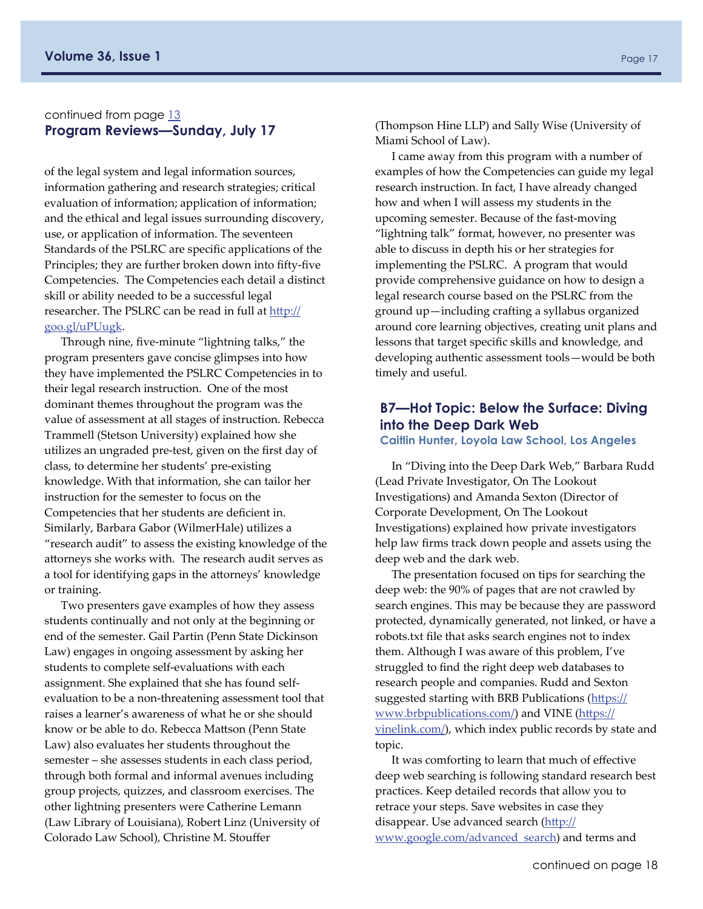#### <span id="page-16-0"></span>continued from page [13](#page-12-0) **Program Reviews—Sunday, July 17**

of the legal system and legal information sources, information gathering and research strategies; critical evaluation of information; application of information; and the ethical and legal issues surrounding discovery, use, or application of information. The seventeen Standards of the PSLRC are specific applications of the Principles; they are further broken down into fifty‐five Competencies. The Competencies each detail a distinct skill or ability needed to be a successful legal researcher. The PSLRC can be read in full at htt[p://](http://goo.gl/uPUugk) [goo.gl/uPUugk](http://goo.gl/uPUugk).

Through nine, five‐minute "lightning talks," the program presenters gave concise glimpses into how they have implemented the PSLRC Competencies in to their legal research instruction. One of the most dominant themes throughout the program was the value of assessment at all stages of instruction. Rebecca Trammell (Stetson University) explained how she utilizes an ungraded pre‐test, given on the first day of class, to determine her students' pre‐existing knowledge. With that information, she can tailor her instruction for the semester to focus on the Competencies that her students are deficient in. Similarly, Barbara Gabor (WilmerHale) utilizes a "research audit" to assess the existing knowledge of the attorneys she works with. The research audit serves as a tool for identifying gaps in the attorneys' knowledge or training.

Two presenters gave examples of how they assess students continually and not only at the beginning or end of the semester. Gail Partin (Penn State Dickinson Law) engages in ongoing assessment by asking her students to complete self‐evaluations with each assignment. She explained that she has found self‐ evaluation to be a non‐threatening assessment tool that raises a learner's awareness of what he or she should know or be able to do. Rebecca Mattson (Penn State Law) also evaluates her students throughout the semester – she assesses students in each class period, through both formal and informal avenues including group projects, quizzes, and classroom exercises. The other lightning presenters were Catherine Lemann (Law Library of Louisiana), Robert Linz (University of Colorado Law School), Christine M. Stouffer

(Thompson Hine LLP) and Sally Wise (University of Miami School of Law).

I came away from this program with a number of examples of how the Competencies can guide my legal research instruction. In fact, I have already changed how and when I will assess my students in the upcoming semester. Because of the fast‐moving "lightning talk" format, however, no presenter was able to discuss in depth his or her strategies for implementing the PSLRC. A program that would provide comprehensive guidance on how to design a legal research course based on the PSLRC from the ground up—including crafting a syllabus organized around core learning objectives, creating unit plans and lessons that target specific skills and knowledge, and developing authentic assessment tools—would be both timely and useful.

#### **B7—Hot Topic: Below the Surface: Diving into the Deep Dark Web**

**Caitlin Hunter, Loyola Law School, Los Angeles** 

In "Diving into the Deep Dark Web," Barbara Rudd (Lead Private Investigator, On The Lookout Investigations) and Amanda Sexton (Director of Corporate Development, On The Lookout Investigations) explained how private investigators help law firms track down people and assets using the deep web and the dark web.

The presentation focused on tips for searching the deep web: the 90% of pages that are not crawled by search engines. This may be because they are password protected, dynamically generated, not linked, or have a robots.txt file that asks search engines not to index them. Although I was aware of this problem, I've struggled to find the right deep web databases to research people and companies. Rudd and Sexton suggested starting with BRB Publications (htt[ps://](https://www.brbpublications.com/) [www.brbpublications.com/](https://www.brbpublications.com/)) and VINE (htt[ps://](https://vinelink.com/) [vinelink.com/](https://vinelink.com/)), which index public records by state and topic.

It was comforting to learn that much of effective deep web searching is following standard research best practices. Keep detailed records that allow you to retrace your steps. Save websites in case they disappear. Use advanced search (htt[p://](http://www.google.com/advanced_search) [www.google.com/advanced\\_search](http://www.google.com/advanced_search)) and terms and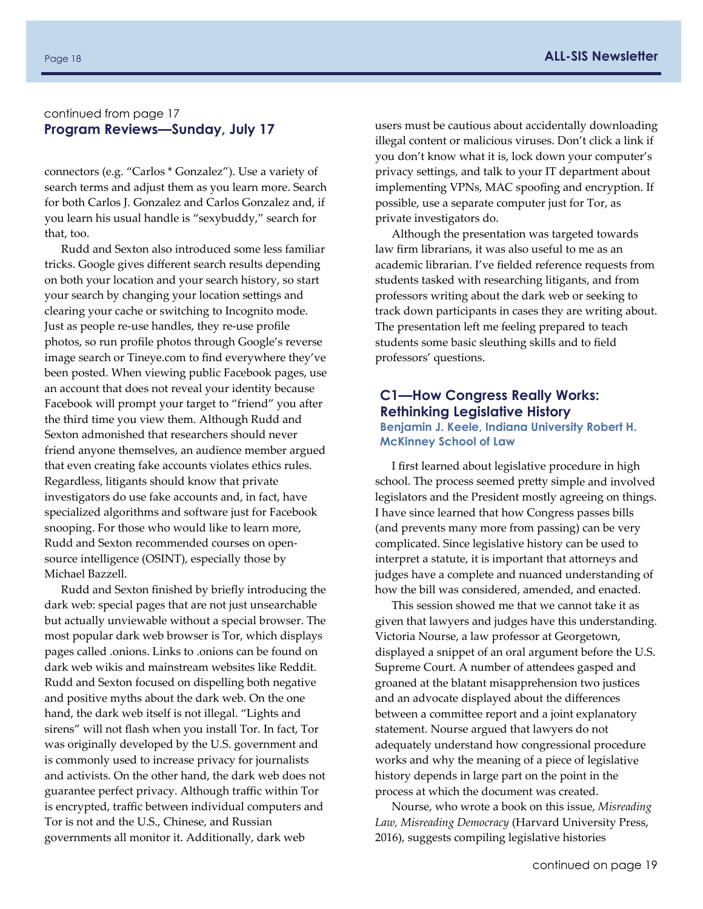#### continued from page 17 **Program Reviews—Sunday, July 17**

connectors (e.g. "Carlos \* Gonzalez"). Use a variety of search terms and adjust them as you learn more. Search for both Carlos J. Gonzalez and Carlos Gonzalez and, if you learn his usual handle is "sexybuddy," search for that, too.

Rudd and Sexton also introduced some less familiar tricks. Google gives different search results depending on both your location and your search history, so start your search by changing your location settings and clearing your cache or switching to Incognito mode. Just as people re‐use handles, they re‐use profile photos, so run profile photos through Google's reverse image search or Tineye.com to find everywhere they've been posted. When viewing public Facebook pages, use an account that does not reveal your identity because Facebook will prompt your target to "friend" you after the third time you view them. Although Rudd and Sexton admonished that researchers should never friend anyone themselves, an audience member argued that even creating fake accounts violates ethics rules. Regardless, litigants should know that private investigators do use fake accounts and, in fact, have specialized algorithms and software just for Facebook snooping. For those who would like to learn more, Rudd and Sexton recommended courses on open‐ source intelligence (OSINT), especially those by Michael Bazzell.

Rudd and Sexton finished by briefly introducing the dark web: special pages that are not just unsearchable but actually unviewable without a special browser. The most popular dark web browser is Tor, which displays pages called .onions. Links to .onions can be found on dark web wikis and mainstream websites like Reddit. Rudd and Sexton focused on dispelling both negative and positive myths about the dark web. On the one hand, the dark web itself is not illegal. "Lights and sirens" will not flash when you install Tor. In fact, Tor was originally developed by the U.S. government and is commonly used to increase privacy for journalists and activists. On the other hand, the dark web does not guarantee perfect privacy. Although traffic within Tor is encrypted, traffic between individual computers and Tor is not and the U.S., Chinese, and Russian governments all monitor it. Additionally, dark web

users must be cautious about accidentally downloading illegal content or malicious viruses. Don't click a link if you don't know what it is, lock down your computer's privacy settings, and talk to your IT department about implementing VPNs, MAC spoofing and encryption. If possible, use a separate computer just for Tor, as private investigators do.

Although the presentation was targeted towards law firm librarians, it was also useful to me as an academic librarian. I've fielded reference requests from students tasked with researching litigants, and from professors writing about the dark web or seeking to track down participants in cases they are writing about. The presentation left me feeling prepared to teach students some basic sleuthing skills and to field professors' questions.

#### **C1—How Congress Really Works: Rethinking Legislative History Benjamin J. Keele, Indiana University Robert H.**

## **McKinney School of Law**

I first learned about legislative procedure in high school. The process seemed pretty simple and involved legislators and the President mostly agreeing on things. I have since learned that how Congress passes bills (and prevents many more from passing) can be very complicated. Since legislative history can be used to interpret a statute, it is important that attorneys and judges have a complete and nuanced understanding of how the bill was considered, amended, and enacted.

This session showed me that we cannot take it as given that lawyers and judges have this understanding. Victoria Nourse, a law professor at Georgetown, displayed a snippet of an oral argument before the U.S. Supreme Court. A number of attendees gasped and groaned at the blatant misapprehension two justices and an advocate displayed about the differences between a committee report and a joint explanatory statement. Nourse argued that lawyers do not adequately understand how congressional procedure works and why the meaning of a piece of legislative history depends in large part on the point in the process at which the document was created.

Nourse, who wrote a book on this issue, *Misreading Law, Misreading Democracy* (Harvard University Press, 2016), suggests compiling legislative histories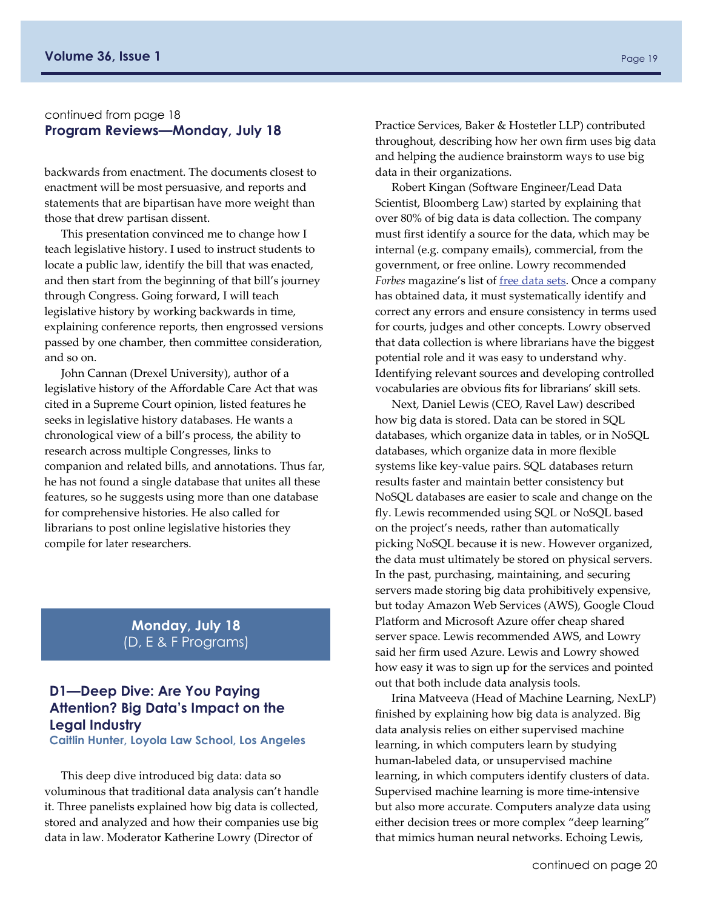#### continued from page 18 **Program Reviews—Monday, July 18**

backwards from enactment. The documents closest to enactment will be most persuasive, and reports and statements that are bipartisan have more weight than those that drew partisan dissent.

This presentation convinced me to change how I teach legislative history. I used to instruct students to locate a public law, identify the bill that was enacted, and then start from the beginning of that bill's journey through Congress. Going forward, I will teach legislative history by working backwards in time, explaining conference reports, then engrossed versions passed by one chamber, then committee consideration, and so on.

John Cannan (Drexel University), author of a legislative history of the Affordable Care Act that was cited in a Supreme Court opinion, listed features he seeks in legislative history databases. He wants a chronological view of a bill's process, the ability to research across multiple Congresses, links to companion and related bills, and annotations. Thus far, he has not found a single database that unites all these features, so he suggests using more than one database for comprehensive histories. He also called for librarians to post online legislative histories they compile for later researchers.

> **Monday, July 18**  (D, E & F Programs)

#### **D1—Deep Dive: Are You Paying Attention? Big Data's Impact on the Legal Industry**

**Caitlin Hunter, Loyola Law School, Los Angeles** 

This deep dive introduced big data: data so voluminous that traditional data analysis can't handle it. Three panelists explained how big data is collected, stored and analyzed and how their companies use big data in law. Moderator Katherine Lowry (Director of

Practice Services, Baker & Hostetler LLP) contributed throughout, describing how her own firm uses big data and helping the audience brainstorm ways to use big data in their organizations.

Robert Kingan (Software Engineer/Lead Data Scientist, Bloomberg Law) started by explaining that over 80% of big data is data collection. The company must first identify a source for the data, which may be internal (e.g. company emails), commercial, from the government, or free online. Lowry recommended *Forbes* magazine's list of free [data](http://www.forbes.com/sites/bernardmarr/2016/02/12/big-data-35-brilliant-and-free-data-sources-for-2016/#6b1814266796) sets. Once a company has obtained data, it must systematically identify and correct any errors and ensure consistency in terms used for courts, judges and other concepts. Lowry observed that data collection is where librarians have the biggest potential role and it was easy to understand why. Identifying relevant sources and developing controlled vocabularies are obvious fits for librarians' skill sets.

Next, Daniel Lewis (CEO, Ravel Law) described how big data is stored. Data can be stored in SQL databases, which organize data in tables, or in NoSQL databases, which organize data in more flexible systems like key‐value pairs. SQL databases return results faster and maintain better consistency but NoSQL databases are easier to scale and change on the fly. Lewis recommended using SQL or NoSQL based on the project's needs, rather than automatically picking NoSQL because it is new. However organized, the data must ultimately be stored on physical servers. In the past, purchasing, maintaining, and securing servers made storing big data prohibitively expensive, but today Amazon Web Services (AWS), Google Cloud Platform and Microsoft Azure offer cheap shared server space. Lewis recommended AWS, and Lowry said her firm used Azure. Lewis and Lowry showed how easy it was to sign up for the services and pointed out that both include data analysis tools.

Irina Matveeva (Head of Machine Learning, NexLP) finished by explaining how big data is analyzed. Big data analysis relies on either supervised machine learning, in which computers learn by studying human‐labeled data, or unsupervised machine learning, in which computers identify clusters of data. Supervised machine learning is more time‐intensive but also more accurate. Computers analyze data using either decision trees or more complex "deep learning" that mimics human neural networks. Echoing Lewis,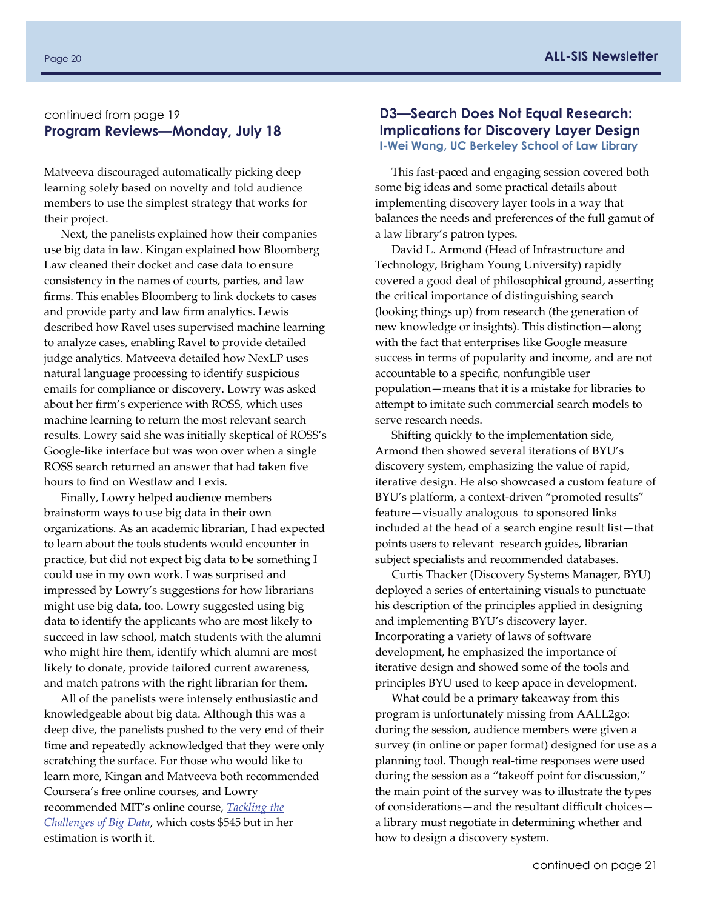#### continued from page 19 **Program Reviews—Monday, July 18**

Matveeva discouraged automatically picking deep learning solely based on novelty and told audience members to use the simplest strategy that works for their project.

Next, the panelists explained how their companies use big data in law. Kingan explained how Bloomberg Law cleaned their docket and case data to ensure consistency in the names of courts, parties, and law firms. This enables Bloomberg to link dockets to cases and provide party and law firm analytics. Lewis described how Ravel uses supervised machine learning to analyze cases, enabling Ravel to provide detailed judge analytics. Matveeva detailed how NexLP uses natural language processing to identify suspicious emails for compliance or discovery. Lowry was asked about her firm's experience with ROSS, which uses machine learning to return the most relevant search results. Lowry said she was initially skeptical of ROSS's Google‐like interface but was won over when a single ROSS search returned an answer that had taken five hours to find on Westlaw and Lexis.

Finally, Lowry helped audience members brainstorm ways to use big data in their own organizations. As an academic librarian, I had expected to learn about the tools students would encounter in practice, but did not expect big data to be something I could use in my own work. I was surprised and impressed by Lowry's suggestions for how librarians might use big data, too. Lowry suggested using big data to identify the applicants who are most likely to succeed in law school, match students with the alumni who might hire them, identify which alumni are most likely to donate, provide tailored current awareness, and match patrons with the right librarian for them.

All of the panelists were intensely enthusiastic and knowledgeable about big data. Although this was a deep dive, the panelists pushed to the very end of their time and repeatedly acknowledged that they were only scratching the surface. For those who would like to learn more, Kingan and Matveeva both recommended Coursera's free online courses, and Lowry recommended MIT's online course, *[Tackling](https://mitprofessionalx.mit.edu/courses/course-v1:MITProfessionalX+6.BDX+T3_2016/about) the [Challenges](https://mitprofessionalx.mit.edu/courses/course-v1:MITProfessionalX+6.BDX+T3_2016/about) of Big Data*, which costs \$545 but in her estimation is worth it.

#### **D3—Search Does Not Equal Research: Implications for Discovery Layer Design I-Wei Wang, UC Berkeley School of Law Library**

This fast‐paced and engaging session covered both some big ideas and some practical details about implementing discovery layer tools in a way that balances the needs and preferences of the full gamut of a law library's patron types.

David L. Armond (Head of Infrastructure and Technology, Brigham Young University) rapidly covered a good deal of philosophical ground, asserting the critical importance of distinguishing search (looking things up) from research (the generation of new knowledge or insights). This distinction—along with the fact that enterprises like Google measure success in terms of popularity and income, and are not accountable to a specific, nonfungible user population—means that it is a mistake for libraries to attempt to imitate such commercial search models to serve research needs.

Shifting quickly to the implementation side, Armond then showed several iterations of BYU's discovery system, emphasizing the value of rapid, iterative design. He also showcased a custom feature of BYU's platform, a context-driven "promoted results" feature—visually analogous to sponsored links included at the head of a search engine result list—that points users to relevant research guides, librarian subject specialists and recommended databases.

Curtis Thacker (Discovery Systems Manager, BYU) deployed a series of entertaining visuals to punctuate his description of the principles applied in designing and implementing BYU's discovery layer. Incorporating a variety of laws of software development, he emphasized the importance of iterative design and showed some of the tools and principles BYU used to keep apace in development.

What could be a primary takeaway from this program is unfortunately missing from AALL2go: during the session, audience members were given a survey (in online or paper format) designed for use as a planning tool. Though real-time responses were used during the session as a "takeoff point for discussion," the main point of the survey was to illustrate the types of considerations—and the resultant difficult choices a library must negotiate in determining whether and how to design a discovery system.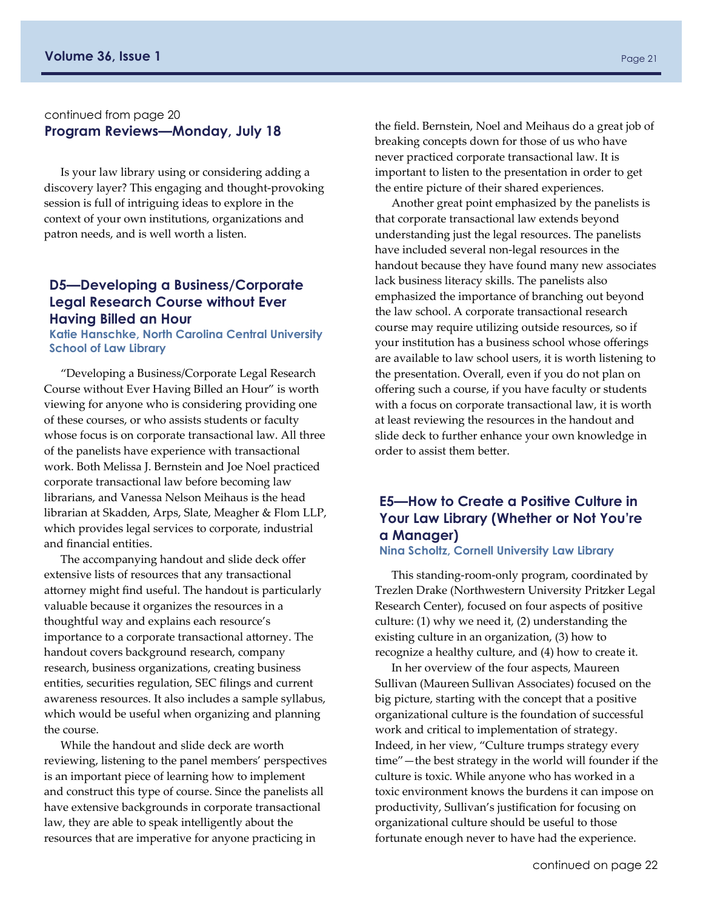#### continued from page 20 **Program Reviews—Monday, July 18**

Is your law library using or considering adding a discovery layer? This engaging and thought‐provoking session is full of intriguing ideas to explore in the context of your own institutions, organizations and patron needs, and is well worth a listen.

#### **D5—Developing a Business/Corporate Legal Research Course without Ever Having Billed an Hour**

**Katie Hanschke, North Carolina Central University School of Law Library** 

"Developing a Business/Corporate Legal Research Course without Ever Having Billed an Hour" is worth viewing for anyone who is considering providing one of these courses, or who assists students or faculty whose focus is on corporate transactional law. All three of the panelists have experience with transactional work. Both Melissa J. Bernstein and Joe Noel practiced corporate transactional law before becoming law librarians, and Vanessa Nelson Meihaus is the head librarian at Skadden, Arps, Slate, Meagher & Flom LLP, which provides legal services to corporate, industrial and financial entities.

The accompanying handout and slide deck offer extensive lists of resources that any transactional attorney might find useful. The handout is particularly valuable because it organizes the resources in a thoughtful way and explains each resource's importance to a corporate transactional attorney. The handout covers background research, company research, business organizations, creating business entities, securities regulation, SEC filings and current awareness resources. It also includes a sample syllabus, which would be useful when organizing and planning the course.

While the handout and slide deck are worth reviewing, listening to the panel members' perspectives is an important piece of learning how to implement and construct this type of course. Since the panelists all have extensive backgrounds in corporate transactional law, they are able to speak intelligently about the resources that are imperative for anyone practicing in

the field. Bernstein, Noel and Meihaus do a great job of breaking concepts down for those of us who have never practiced corporate transactional law. It is important to listen to the presentation in order to get the entire picture of their shared experiences.

Another great point emphasized by the panelists is that corporate transactional law extends beyond understanding just the legal resources. The panelists have included several non-legal resources in the handout because they have found many new associates lack business literacy skills. The panelists also emphasized the importance of branching out beyond the law school. A corporate transactional research course may require utilizing outside resources, so if your institution has a business school whose offerings are available to law school users, it is worth listening to the presentation. Overall, even if you do not plan on offering such a course, if you have faculty or students with a focus on corporate transactional law, it is worth at least reviewing the resources in the handout and slide deck to further enhance your own knowledge in order to assist them better.

## **E5—How to Create a Positive Culture in Your Law Library (Whether or Not You're a Manager)**

#### **Nina Scholtz, Cornell University Law Library**

This standing‐room‐only program, coordinated by Trezlen Drake (Northwestern University Pritzker Legal Research Center), focused on four aspects of positive culture: (1) why we need it, (2) understanding the existing culture in an organization, (3) how to recognize a healthy culture, and (4) how to create it.

In her overview of the four aspects, Maureen Sullivan (Maureen Sullivan Associates) focused on the big picture, starting with the concept that a positive organizational culture is the foundation of successful work and critical to implementation of strategy. Indeed, in her view, "Culture trumps strategy every time"—the best strategy in the world will founder if the culture is toxic. While anyone who has worked in a toxic environment knows the burdens it can impose on productivity, Sullivan's justification for focusing on organizational culture should be useful to those fortunate enough never to have had the experience.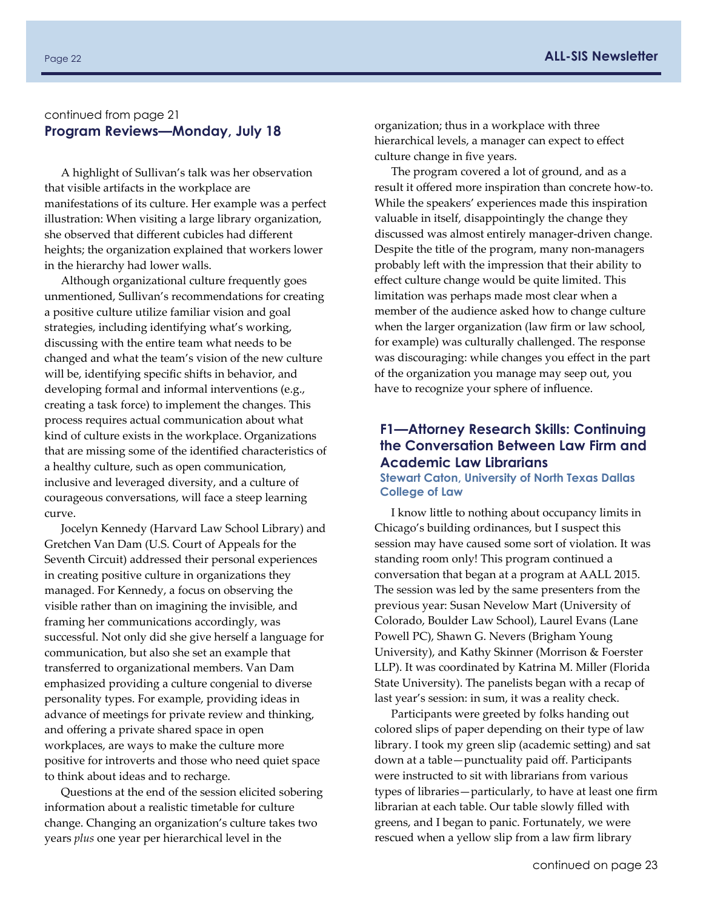#### continued from page 21 **Program Reviews—Monday, July 18**

A highlight of Sullivan's talk was her observation that visible artifacts in the workplace are manifestations of its culture. Her example was a perfect illustration: When visiting a large library organization, she observed that different cubicles had different heights; the organization explained that workers lower in the hierarchy had lower walls.

Although organizational culture frequently goes unmentioned, Sullivan's recommendations for creating a positive culture utilize familiar vision and goal strategies, including identifying what's working, discussing with the entire team what needs to be changed and what the team's vision of the new culture will be, identifying specific shifts in behavior, and developing formal and informal interventions (e.g., creating a task force) to implement the changes. This process requires actual communication about what kind of culture exists in the workplace. Organizations that are missing some of the identified characteristics of a healthy culture, such as open communication, inclusive and leveraged diversity, and a culture of courageous conversations, will face a steep learning curve.

Jocelyn Kennedy (Harvard Law School Library) and Gretchen Van Dam (U.S. Court of Appeals for the Seventh Circuit) addressed their personal experiences in creating positive culture in organizations they managed. For Kennedy, a focus on observing the visible rather than on imagining the invisible, and framing her communications accordingly, was successful. Not only did she give herself a language for communication, but also she set an example that transferred to organizational members. Van Dam emphasized providing a culture congenial to diverse personality types. For example, providing ideas in advance of meetings for private review and thinking, and offering a private shared space in open workplaces, are ways to make the culture more positive for introverts and those who need quiet space to think about ideas and to recharge.

Questions at the end of the session elicited sobering information about a realistic timetable for culture change. Changing an organization's culture takes two years *plus* one year per hierarchical level in the

organization; thus in a workplace with three hierarchical levels, a manager can expect to effect culture change in five years.

The program covered a lot of ground, and as a result it offered more inspiration than concrete how‐to. While the speakers' experiences made this inspiration valuable in itself, disappointingly the change they discussed was almost entirely manager‐driven change. Despite the title of the program, many non‐managers probably left with the impression that their ability to effect culture change would be quite limited. This limitation was perhaps made most clear when a member of the audience asked how to change culture when the larger organization (law firm or law school, for example) was culturally challenged. The response was discouraging: while changes you effect in the part of the organization you manage may seep out, you have to recognize your sphere of influence.

#### **F1—Attorney Research Skills: Continuing the Conversation Between Law Firm and Academic Law Librarians**

**Stewart Caton, University of North Texas Dallas College of Law** 

I know little to nothing about occupancy limits in Chicago's building ordinances, but I suspect this session may have caused some sort of violation. It was standing room only! This program continued a conversation that began at a program at AALL 2015. The session was led by the same presenters from the previous year: Susan Nevelow Mart (University of Colorado, Boulder Law School), Laurel Evans (Lane Powell PC), Shawn G. Nevers (Brigham Young University), and Kathy Skinner (Morrison & Foerster LLP). It was coordinated by Katrina M. Miller (Florida State University). The panelists began with a recap of last year's session: in sum, it was a reality check.

Participants were greeted by folks handing out colored slips of paper depending on their type of law library. I took my green slip (academic setting) and sat down at a table—punctuality paid off. Participants were instructed to sit with librarians from various types of libraries—particularly, to have at least one firm librarian at each table. Our table slowly filled with greens, and I began to panic. Fortunately, we were rescued when a yellow slip from a law firm library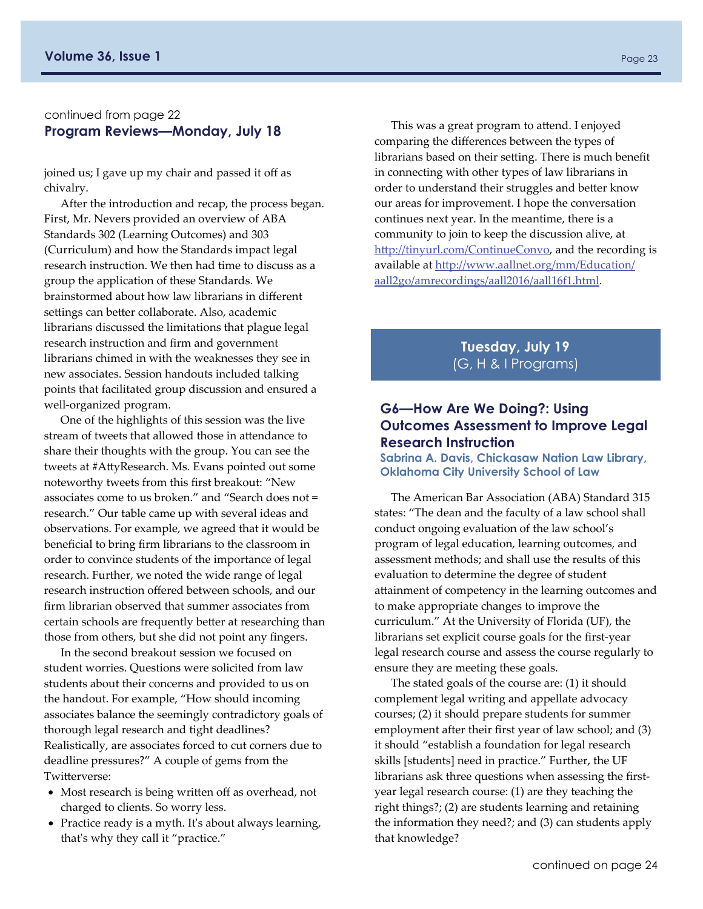#### continued from page 22 **Program Reviews—Monday, July 18**

joined us; I gave up my chair and passed it off as chivalry.

After the introduction and recap, the process began. First, Mr. Nevers provided an overview of ABA Standards 302 (Learning Outcomes) and 303 (Curriculum) and how the Standards impact legal research instruction. We then had time to discuss as a group the application of these Standards. We brainstormed about how law librarians in different settings can better collaborate. Also, academic librarians discussed the limitations that plague legal research instruction and firm and government librarians chimed in with the weaknesses they see in new associates. Session handouts included talking points that facilitated group discussion and ensured a well‐organized program.

One of the highlights of this session was the live stream of tweets that allowed those in attendance to share their thoughts with the group. You can see the tweets at #AttyResearch. Ms. Evans pointed out some noteworthy tweets from this first breakout: "New associates come to us broken." and "Search does not = research." Our table came up with several ideas and observations. For example, we agreed that it would be beneficial to bring firm librarians to the classroom in order to convince students of the importance of legal research. Further, we noted the wide range of legal research instruction offered between schools, and our firm librarian observed that summer associates from certain schools are frequently better at researching than those from others, but she did not point any fingers.

In the second breakout session we focused on student worries. Questions were solicited from law students about their concerns and provided to us on the handout. For example, "How should incoming associates balance the seemingly contradictory goals of thorough legal research and tight deadlines? Realistically, are associates forced to cut corners due to deadline pressures?" A couple of gems from the Twitterverse:

- Most research is being written off as overhead, not charged to clients. So worry less.
- Practice ready is a myth. It's about always learning, that's why they call it "practice."

This was a great program to attend. I enjoyed comparing the differences between the types of librarians based on their setting. There is much benefit in connecting with other types of law librarians in order to understand their struggles and better know our areas for improvement. I hope the conversation continues next year. In the meantime, there is a community to join to keep the discussion alive, at htt[p://tinyurl.com/ContinueConvo](http://tinyurl.com/ContinueConvo), and the recording is available at htt[p://www.aallnet.org/mm/Education/](http://www.aallnet.org/mm/Education/aall2go/amrecordings/aall2016/aall16f1.html) [aall2go/amrecordings/aall2016/aall16f1.html.](http://www.aallnet.org/mm/Education/aall2go/amrecordings/aall2016/aall16f1.html)

> **Tuesday, July 19**  (G, H & I Programs)

#### **G6—How Are We Doing?: Using Outcomes Assessment to Improve Legal Research Instruction**

**Sabrina A. Davis, Chickasaw Nation Law Library, Oklahoma City University School of Law** 

The American Bar Association (ABA) Standard 315 states: "The dean and the faculty of a law school shall conduct ongoing evaluation of the law school's program of legal education, learning outcomes, and assessment methods; and shall use the results of this evaluation to determine the degree of student attainment of competency in the learning outcomes and to make appropriate changes to improve the curriculum." At the University of Florida (UF), the librarians set explicit course goals for the first‐year legal research course and assess the course regularly to ensure they are meeting these goals.

The stated goals of the course are: (1) it should complement legal writing and appellate advocacy courses; (2) it should prepare students for summer employment after their first year of law school; and (3) it should "establish a foundation for legal research skills [students] need in practice." Further, the UF librarians ask three questions when assessing the first‐ year legal research course: (1) are they teaching the right things?; (2) are students learning and retaining the information they need?; and (3) can students apply that knowledge?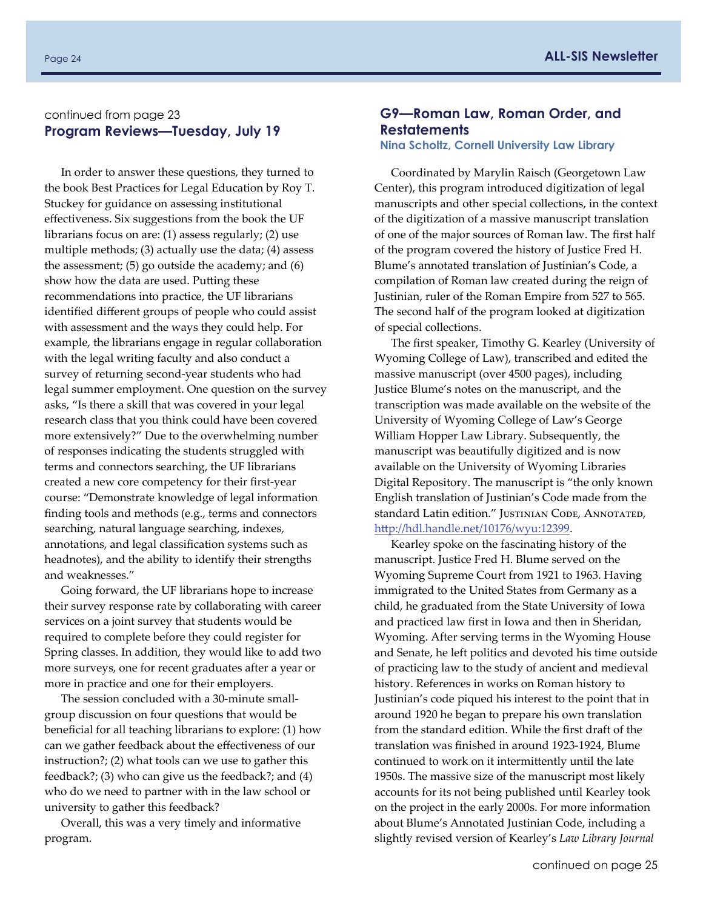#### Page 24 **ALL-SIS Newsletter**

#### continued from page 23 **Program Reviews—Tuesday, July 19**

In order to answer these questions, they turned to the book Best Practices for Legal Education by Roy T. Stuckey for guidance on assessing institutional effectiveness. Six suggestions from the book the UF librarians focus on are: (1) assess regularly; (2) use multiple methods; (3) actually use the data; (4) assess the assessment; (5) go outside the academy; and (6) show how the data are used. Putting these recommendations into practice, the UF librarians identified different groups of people who could assist with assessment and the ways they could help. For example, the librarians engage in regular collaboration with the legal writing faculty and also conduct a survey of returning second‐year students who had legal summer employment. One question on the survey asks, "Is there a skill that was covered in your legal research class that you think could have been covered more extensively?" Due to the overwhelming number of responses indicating the students struggled with terms and connectors searching, the UF librarians created a new core competency for their first‐year course: "Demonstrate knowledge of legal information finding tools and methods (e.g., terms and connectors searching, natural language searching, indexes, annotations, and legal classification systems such as headnotes), and the ability to identify their strengths and weaknesses."

Going forward, the UF librarians hope to increase their survey response rate by collaborating with career services on a joint survey that students would be required to complete before they could register for Spring classes. In addition, they would like to add two more surveys, one for recent graduates after a year or more in practice and one for their employers.

The session concluded with a 30‐minute small‐ group discussion on four questions that would be beneficial for all teaching librarians to explore: (1) how can we gather feedback about the effectiveness of our instruction?; (2) what tools can we use to gather this feedback?; (3) who can give us the feedback?; and (4) who do we need to partner with in the law school or university to gather this feedback?

Overall, this was a very timely and informative program.

#### **G9—Roman Law, Roman Order, and Restatements**

#### **Nina Scholtz, Cornell University Law Library**

Coordinated by Marylin Raisch (Georgetown Law Center), this program introduced digitization of legal manuscripts and other special collections, in the context of the digitization of a massive manuscript translation of one of the major sources of Roman law. The first half of the program covered the history of Justice Fred H. Blume's annotated translation of Justinian's Code, a compilation of Roman law created during the reign of Justinian, ruler of the Roman Empire from 527 to 565. The second half of the program looked at digitization of special collections.

The first speaker, Timothy G. Kearley (University of Wyoming College of Law), transcribed and edited the massive manuscript (over 4500 pages), including Justice Blume's notes on the manuscript, and the transcription was made available on the website of the University of Wyoming College of Law's George William Hopper Law Library. Subsequently, the manuscript was beautifully digitized and is now available on the University of Wyoming Libraries Digital Repository. The manuscript is "the only known English translation of Justinian's Code made from the standard Latin edition." JUSTINIAN CODE, ANNOTATED, htt[p://hdl.handle.net/10176/wyu:12399](http://hdl.handle.net/10176/wyu:12399).

Kearley spoke on the fascinating history of the manuscript. Justice Fred H. Blume served on the Wyoming Supreme Court from 1921 to 1963. Having immigrated to the United States from Germany as a child, he graduated from the State University of Iowa and practiced law first in Iowa and then in Sheridan, Wyoming. After serving terms in the Wyoming House and Senate, he left politics and devoted his time outside of practicing law to the study of ancient and medieval history. References in works on Roman history to Justinian's code piqued his interest to the point that in around 1920 he began to prepare his own translation from the standard edition. While the first draft of the translation was finished in around 1923‐1924, Blume continued to work on it intermittently until the late 1950s. The massive size of the manuscript most likely accounts for its not being published until Kearley took on the project in the early 2000s. For more information about Blume's Annotated Justinian Code, including a slightly revised version of Kearley's *Law Library Journal*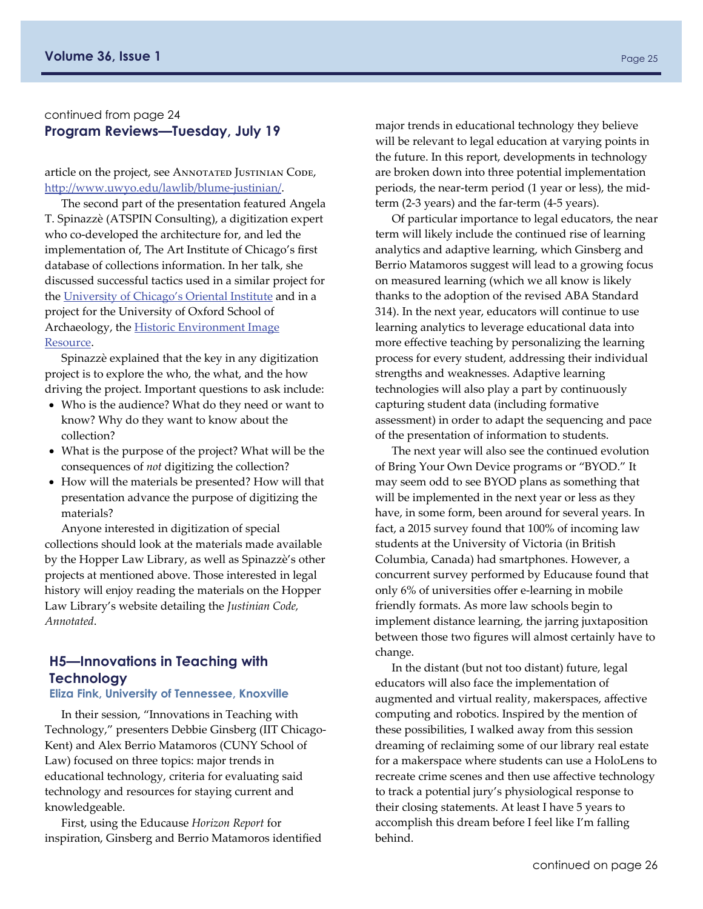#### continued from page 24 **Program Reviews—Tuesday, July 19**

article on the project, see ANNOTATED JUSTINIAN CODE, htt[p://www.uwyo.edu/lawlib/blume](http://www.uwyo.edu/lawlib/blume-justinian/)‐justinian/.

The second part of the presentation featured Angela T. Spinazzè (ATSPIN Consulting), a digitization expert who co-developed the architecture for, and led the implementation of, The Art Institute of Chicago's first database of collections information. In her talk, she discussed successful tactics used in a similar project for the [University](https://oi.uchicago.edu/collections) of Chicago's Oriental Institute and in a project for the University of Oxford School of Archaeology, the **Historic [Environment](http://www.arch.ox.ac.uk/HEIR.html) Image** [Resource](http://www.arch.ox.ac.uk/HEIR.html).

Spinazzè explained that the key in any digitization project is to explore the who, the what, and the how driving the project. Important questions to ask include:

- Who is the audience? What do they need or want to know? Why do they want to know about the collection?
- What is the purpose of the project? What will be the consequences of *not* digitizing the collection?
- How will the materials be presented? How will that presentation advance the purpose of digitizing the materials?

Anyone interested in digitization of special collections should look at the materials made available by the Hopper Law Library, as well as Spinazzè's other projects at mentioned above. Those interested in legal history will enjoy reading the materials on the Hopper Law Library's website detailing the *Justinian Code, Annotated*.

## **H5—Innovations in Teaching with Technology**

## **Eliza Fink, University of Tennessee, Knoxville**

In their session, "Innovations in Teaching with Technology," presenters Debbie Ginsberg (IIT Chicago‐ Kent) and Alex Berrio Matamoros (CUNY School of Law) focused on three topics: major trends in educational technology, criteria for evaluating said technology and resources for staying current and knowledgeable.

First, using the Educause *Horizon Report* for inspiration, Ginsberg and Berrio Matamoros identified major trends in educational technology they believe will be relevant to legal education at varying points in the future. In this report, developments in technology are broken down into three potential implementation periods, the near-term period (1 year or less), the midterm (2‐3 years) and the far‐term (4‐5 years).

Of particular importance to legal educators, the near term will likely include the continued rise of learning analytics and adaptive learning, which Ginsberg and Berrio Matamoros suggest will lead to a growing focus on measured learning (which we all know is likely thanks to the adoption of the revised ABA Standard 314). In the next year, educators will continue to use learning analytics to leverage educational data into more effective teaching by personalizing the learning process for every student, addressing their individual strengths and weaknesses. Adaptive learning technologies will also play a part by continuously capturing student data (including formative assessment) in order to adapt the sequencing and pace of the presentation of information to students.

The next year will also see the continued evolution of Bring Your Own Device programs or "BYOD." It may seem odd to see BYOD plans as something that will be implemented in the next year or less as they have, in some form, been around for several years. In fact, a 2015 survey found that 100% of incoming law students at the University of Victoria (in British Columbia, Canada) had smartphones. However, a concurrent survey performed by Educause found that only 6% of universities offer e‐learning in mobile friendly formats. As more law schools begin to implement distance learning, the jarring juxtaposition between those two figures will almost certainly have to change.

In the distant (but not too distant) future, legal educators will also face the implementation of augmented and virtual reality, makerspaces, affective computing and robotics. Inspired by the mention of these possibilities, I walked away from this session dreaming of reclaiming some of our library real estate for a makerspace where students can use a HoloLens to recreate crime scenes and then use affective technology to track a potential jury's physiological response to their closing statements. At least I have 5 years to accomplish this dream before I feel like I'm falling behind.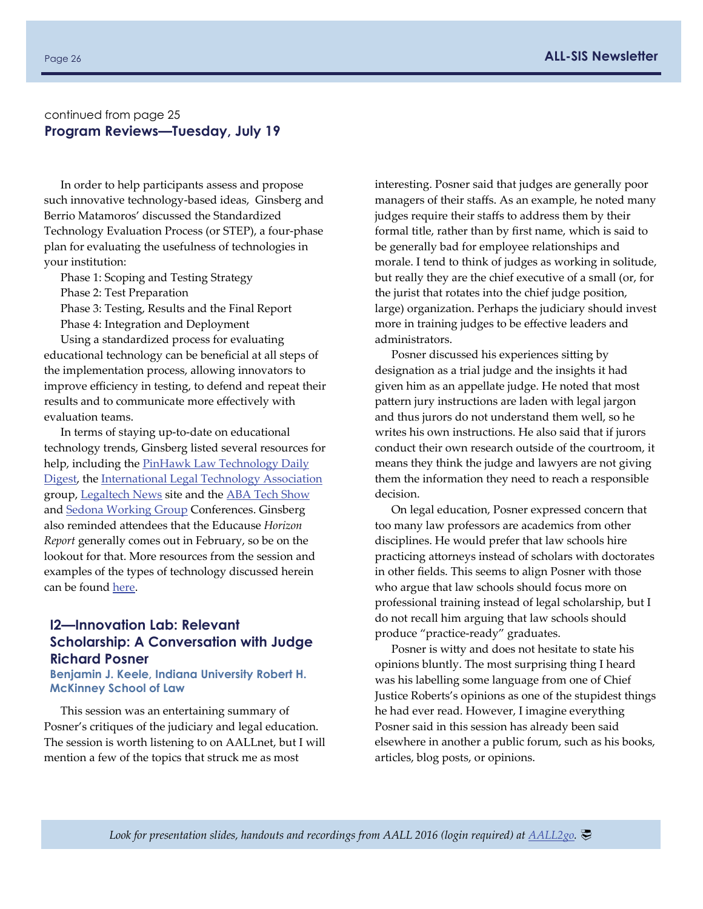#### continued from page 25 **Program Reviews—Tuesday, July 19**

In order to help participants assess and propose such innovative technology-based ideas, Ginsberg and Berrio Matamoros' discussed the Standardized Technology Evaluation Process (or STEP), a four‐phase plan for evaluating the usefulness of technologies in your institution:

Phase 1: Scoping and Testing Strategy

Phase 2: Test Preparation

Phase 3: Testing, Results and the Final Report

Phase 4: Integration and Deployment

Using a standardized process for evaluating educational technology can be beneficial at all steps of the implementation process, allowing innovators to improve efficiency in testing, to defend and repeat their results and to communicate more effectively with evaluation teams.

In terms of staying up‐to‐date on educational technology trends, Ginsberg listed several resources for help, including the **PinHawk Law [Technology](http://www.pinhawk.com/latest.php?nl=18) Daily** [Digest](http://www.pinhawk.com/latest.php?nl=18), the [International](http://www.iltanet.org/home?ssopc=1) Legal Technology Association group, [Legaltech](http://www.legaltechnews.com/?slreturn=20160723095522) News site and the ABA Tech [Show](http://www.techshow.com/) and Sedona [Working](https://thesedonaconference.org/join) Group Conferences. Ginsberg also reminded attendees that the Educause *Horizon Report* generally comes out in February, so be on the lookout for that. More resources from the session and examples of the types of technology discussed herein can be found [here](http://hq.aallnet.org/programmaterials/download.asp?nm=EDU-H5-35136-B%2Epdf).

#### **I2—Innovation Lab: Relevant Scholarship: A Conversation with Judge Richard Posner**

**Benjamin J. Keele, Indiana University Robert H. McKinney School of Law** 

This session was an entertaining summary of Posner's critiques of the judiciary and legal education. The session is worth listening to on AALLnet, but I will mention a few of the topics that struck me as most

interesting. Posner said that judges are generally poor managers of their staffs. As an example, he noted many judges require their staffs to address them by their formal title, rather than by first name, which is said to be generally bad for employee relationships and morale. I tend to think of judges as working in solitude, but really they are the chief executive of a small (or, for the jurist that rotates into the chief judge position, large) organization. Perhaps the judiciary should invest more in training judges to be effective leaders and administrators.

Posner discussed his experiences sitting by designation as a trial judge and the insights it had given him as an appellate judge. He noted that most pattern jury instructions are laden with legal jargon and thus jurors do not understand them well, so he writes his own instructions. He also said that if jurors conduct their own research outside of the courtroom, it means they think the judge and lawyers are not giving them the information they need to reach a responsible decision.

On legal education, Posner expressed concern that too many law professors are academics from other disciplines. He would prefer that law schools hire practicing attorneys instead of scholars with doctorates in other fields. This seems to align Posner with those who argue that law schools should focus more on professional training instead of legal scholarship, but I do not recall him arguing that law schools should produce "practice‐ready" graduates.

Posner is witty and does not hesitate to state his opinions bluntly. The most surprising thing I heard was his labelling some language from one of Chief Justice Roberts's opinions as one of the stupidest things he had ever read. However, I imagine everything Posner said in this session has already been said elsewhere in another a public forum, such as his books, articles, blog posts, or opinions.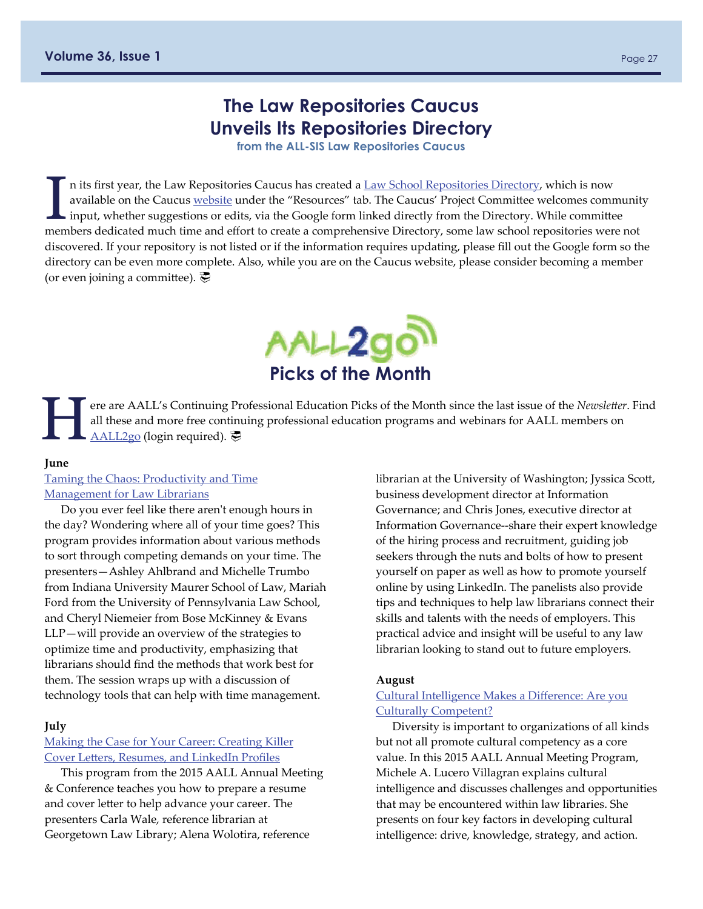## **The Law Repositories Caucus Unveils Its Repositories Directory**

**from the ALL-SIS Law Repositories Caucus** 

<span id="page-26-0"></span>n its first year, the Law [Repositories](https://docs.google.com/document/d/17TYzSttbmsI-37nJ-TIfIUb1C7tJHMmKQXwvdq2g-Ck/edit) Caucus has created a Law School Repositories Directory, which is now available on the Caucus [website](http://community.aallnet.org/lawrepositories/home) under the "Resources" tab. The Caucus' Project Committee welcomes community input, whether suggestions or edits, via the Google form linked directly from the Directory. While committee members dedicated much time and effort to create a comprehensive Directory, some law school repositories were not discovered. If your repository is not listed or if the information requires updating, please fill out the Google form so the directory can be even more complete. Also, while you are on the Caucus website, please consider becoming a member (or even joining a committee).  $\overline{\mathcal{P}}$ 



ere are AALL's Continuing Professional Education Picks of the Month since the last issue of the *Newsletter*. Find all these and more free continuing professional education programs and webinars for AALL members on <u>AALL2</u> all these and more free continuing professional education programs and webinars for AALL members on [AALL2go](http://www.aallnet.org/mm/Education/aall2go) (login required).

#### **June**

#### Taming the Chaos: [Productivity](http://community.aallnet.org/communities/community-home/librarydocuments/viewdocument?DocumentKey=554350e9-360d-46ed-9827-41c0266f574e) and Time [Management](http://community.aallnet.org/communities/community-home/librarydocuments/viewdocument?DocumentKey=554350e9-360d-46ed-9827-41c0266f574e) for Law Librarians

Do you ever feel like there arenʹt enough hours in the day? Wondering where all of your time goes? This program provides information about various methods to sort through competing demands on your time. The presenters—Ashley Ahlbrand and Michelle Trumbo from Indiana University Maurer School of Law, Mariah Ford from the University of Pennsylvania Law School, and Cheryl Niemeier from Bose McKinney & Evans LLP—will provide an overview of the strategies to optimize time and productivity, emphasizing that librarians should find the methods that work best for them. The session wraps up with a discussion of technology tools that can help with time management.

#### **July**

#### Making the Case for Your Career: [Creating](http://community.aallnet.org/communities/community-home/librarydocuments/viewdocument?DocumentKey=a0490a53-5188-4511-9c53-a8134d14adda) Killer Cover Letters, [Resumes,](http://community.aallnet.org/communities/community-home/librarydocuments/viewdocument?DocumentKey=a0490a53-5188-4511-9c53-a8134d14adda) and LinkedIn Profiles

This program from the 2015 AALL Annual Meeting & Conference teaches you how to prepare a resume and cover letter to help advance your career. The presenters Carla Wale, reference librarian at Georgetown Law Library; Alena Wolotira, reference

librarian at the University of Washington; Jyssica Scott, business development director at Information Governance; and Chris Jones, executive director at Information Governance‐‐share their expert knowledge of the hiring process and recruitment, guiding job seekers through the nuts and bolts of how to present yourself on paper as well as how to promote yourself online by using LinkedIn. The panelists also provide tips and techniques to help law librarians connect their skills and talents with the needs of employers. This practical advice and insight will be useful to any law librarian looking to stand out to future employers.

#### **August**

#### Cultural [Intelligence](http://community.aallnet.org/communities/community-home/librarydocuments/viewdocument?DocumentKey=cd673776-edf1-440a-92df-a64565c6eb2c) Makes a Difference: Are you Culturally [Competent?](http://community.aallnet.org/communities/community-home/librarydocuments/viewdocument?DocumentKey=cd673776-edf1-440a-92df-a64565c6eb2c)

Diversity is important to organizations of all kinds but not all promote cultural competency as a core value. In this 2015 AALL Annual Meeting Program, Michele A. Lucero Villagran explains cultural intelligence and discusses challenges and opportunities that may be encountered within law libraries. She presents on four key factors in developing cultural intelligence: drive, knowledge, strategy, and action.